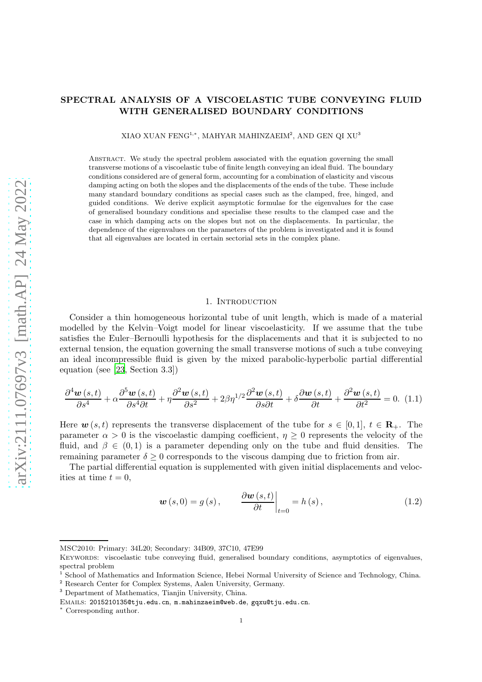# SPECTRAL ANALYSIS OF A VISCOELASTIC TUBE CONVEYING FLUID WITH GENERALISED BOUNDARY CONDITIONS

XIAO XUAN FENG<sup>1,∗</sup>, MAHYAR MAHINZAEIM<sup>2</sup>, AND GEN QI XU<sup>3</sup>

Abstract. We study the spectral problem associated with the equation governing the small transverse motions of a viscoelastic tube of finite length conveying an ideal fluid. The boundary conditions considered are of general form, accounting for a combination of elasticity and viscous damping acting on both the slopes and the displacements of the ends of the tube. These include many standard boundary conditions as special cases such as the clamped, free, hinged, and guided conditions. We derive explicit asymptotic formulae for the eigenvalues for the case of generalised boundary conditions and specialise these results to the clamped case and the case in which damping acts on the slopes but not on the displacements. In particular, the dependence of the eigenvalues on the parameters of the problem is investigated and it is found that all eigenvalues are located in certain sectorial sets in the complex plane.

#### 1. INTRODUCTION

Consider a thin homogeneous horizontal tube of unit length, which is made of a material modelled by the Kelvin–Voigt model for linear viscoelasticity. If we assume that the tube satisfies the Euler–Bernoulli hypothesis for the displacements and that it is subjected to no external tension, the equation governing the small transverse motions of such a tube conveying an ideal incompressible fluid is given by the mixed parabolic-hyperbolic partial differential equation (see [\[23](#page-17-0), Section 3.3])

<span id="page-0-0"></span>
$$
\frac{\partial^4 \boldsymbol{w}(s,t)}{\partial s^4} + \alpha \frac{\partial^5 \boldsymbol{w}(s,t)}{\partial s^4 \partial t} + \eta \frac{\partial^2 \boldsymbol{w}(s,t)}{\partial s^2} + 2\beta \eta^{1/2} \frac{\partial^2 \boldsymbol{w}(s,t)}{\partial s \partial t} + \delta \frac{\partial \boldsymbol{w}(s,t)}{\partial t} + \frac{\partial^2 \boldsymbol{w}(s,t)}{\partial t^2} = 0.
$$
 (1.1)

Here  $w(s,t)$  represents the transverse displacement of the tube for  $s \in [0,1], t \in \mathbb{R}_+$ . The parameter  $\alpha > 0$  is the viscoelastic damping coefficient,  $\eta \geq 0$  represents the velocity of the fluid, and  $\beta \in (0,1)$  is a parameter depending only on the tube and fluid densities. The remaining parameter  $\delta \geq 0$  corresponds to the viscous damping due to friction from air.

The partial differential equation is supplemented with given initial displacements and velocities at time  $t = 0$ ,

<span id="page-0-1"></span>
$$
\boldsymbol{w}(s,0) = g(s), \qquad \frac{\partial \boldsymbol{w}(s,t)}{\partial t}\bigg|_{t=0} = h(s), \qquad (1.2)
$$

MSC2010: Primary: 34L20; Secondary: 34B09, 37C10, 47E99

Keywords: viscoelastic tube conveying fluid, generalised boundary conditions, asymptotics of eigenvalues, spectral problem

<sup>&</sup>lt;sup>1</sup> School of Mathematics and Information Science, Hebei Normal University of Science and Technology, China.

<sup>2</sup> Research Center for Complex Systems, Aalen University, Germany.

<sup>3</sup> Department of Mathematics, Tianjin University, China.

Emails: 2015210135@tju.edu.cn, m.mahinzaeim@web.de, gqxu@tju.edu.cn.

<sup>∗</sup> Corresponding author.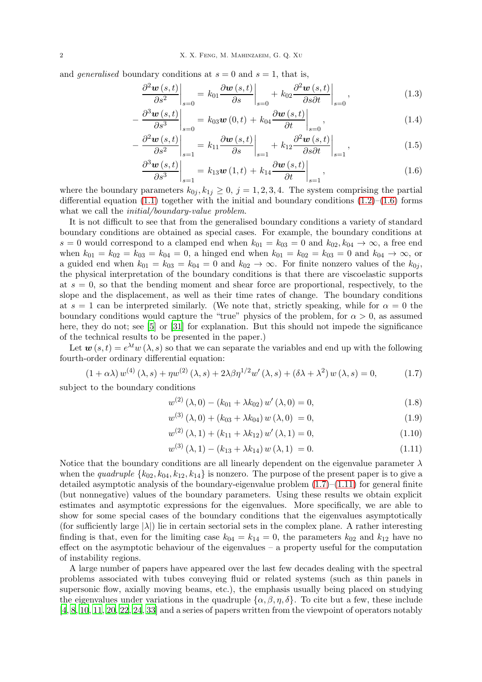and *generalised* boundary conditions at  $s = 0$  and  $s = 1$ , that is,

$$
\frac{\partial^2 \boldsymbol{w}(s,t)}{\partial s^2} \bigg|_{s=0} = k_{01} \frac{\partial \boldsymbol{w}(s,t)}{\partial s} \bigg|_{s=0} + k_{02} \frac{\partial^2 \boldsymbol{w}(s,t)}{\partial s \partial t} \bigg|_{s=0}, \tag{1.3}
$$

$$
-\left.\frac{\partial^3 \boldsymbol{w}(s,t)}{\partial s^3}\right|_{s=0} = k_{03} \boldsymbol{w}(0,t) + k_{04} \frac{\partial \boldsymbol{w}(s,t)}{\partial t}\right|_{s=0},\tag{1.4}
$$

$$
-\frac{\partial^2 \boldsymbol{w}(s,t)}{\partial s^2}\bigg|_{s=1} = k_{11} \frac{\partial \boldsymbol{w}(s,t)}{\partial s}\bigg|_{s=1} + k_{12} \frac{\partial^2 \boldsymbol{w}(s,t)}{\partial s \partial t}\bigg|_{s=1},\tag{1.5}
$$

<span id="page-1-0"></span>
$$
\left. \frac{\partial^3 \boldsymbol{w}(s,t)}{\partial s^3} \right|_{s=1} = k_{13} \boldsymbol{w}(1,t) + k_{14} \frac{\partial \boldsymbol{w}(s,t)}{\partial t} \bigg|_{s=1}, \tag{1.6}
$$

where the boundary parameters  $k_{0j}$ ,  $k_{1j} \geq 0$ ,  $j = 1, 2, 3, 4$ . The system comprising the partial differential equation  $(1.1)$  together with the initial and boundary conditions  $(1.2)$ – $(1.6)$  forms what we call the *initial/boundary-value problem*.

It is not difficult to see that from the generalised boundary conditions a variety of standard boundary conditions are obtained as special cases. For example, the boundary conditions at s = 0 would correspond to a clamped end when  $k_{01} = k_{03} = 0$  and  $k_{02}$ ,  $k_{04} \rightarrow \infty$ , a free end when  $k_{01} = k_{02} = k_{03} = k_{04} = 0$ , a hinged end when  $k_{01} = k_{02} = k_{03} = 0$  and  $k_{04} \rightarrow \infty$ , or a guided end when  $k_{01} = k_{03} = k_{04} = 0$  and  $k_{02} \rightarrow \infty$ . For finite nonzero values of the  $k_{0j}$ , the physical interpretation of the boundary conditions is that there are viscoelastic supports at  $s = 0$ , so that the bending moment and shear force are proportional, respectively, to the slope and the displacement, as well as their time rates of change. The boundary conditions at  $s = 1$  can be interpreted similarly. (We note that, strictly speaking, while for  $\alpha = 0$  the boundary conditions would capture the "true" physics of the problem, for  $\alpha > 0$ , as assumed here, they do not; see [\[5](#page-16-0)] or [\[31](#page-17-1)] for explanation. But this should not impede the significance of the technical results to be presented in the paper.)

Let  $\mathbf{w}(s,t) = e^{\lambda t} w(\lambda, s)$  so that we can separate the variables and end up with the following fourth-order ordinary differential equation:

<span id="page-1-1"></span>
$$
(1 + \alpha \lambda) w^{(4)}(\lambda, s) + \eta w^{(2)}(\lambda, s) + 2\lambda \beta \eta^{1/2} w'(\lambda, s) + (\delta \lambda + \lambda^2) w(\lambda, s) = 0,
$$
 (1.7)

subject to the boundary conditions

<span id="page-1-3"></span>
$$
w^{(2)}(\lambda,0) - (k_{01} + \lambda k_{02}) w'(\lambda,0) = 0,
$$
\n(1.8)

$$
w^{(3)}(\lambda,0) + (k_{03} + \lambda k_{04}) w(\lambda,0) = 0,
$$
\n(1.9)

$$
w^{(2)}(\lambda, 1) + (k_{11} + \lambda k_{12}) w'(\lambda, 1) = 0,
$$
\n(1.10)

<span id="page-1-2"></span>
$$
w^{(3)}(\lambda, 1) - (k_{13} + \lambda k_{14}) w(\lambda, 1) = 0.
$$
 (1.11)

Notice that the boundary conditions are all linearly dependent on the eigenvalue parameter  $\lambda$ when the quadruple  $\{k_{02}, k_{04}, k_{12}, k_{14}\}$  is nonzero. The purpose of the present paper is to give a detailed asymptotic analysis of the boundary-eigenvalue problem  $(1.7)$ – $(1.11)$  for general finite (but nonnegative) values of the boundary parameters. Using these results we obtain explicit estimates and asymptotic expressions for the eigenvalues. More specifically, we are able to show for some special cases of the boundary conditions that the eigenvalues asymptotically (for sufficiently large  $|\lambda|$ ) lie in certain sectorial sets in the complex plane. A rather interesting finding is that, even for the limiting case  $k_{04} = k_{14} = 0$ , the parameters  $k_{02}$  and  $k_{12}$  have no effect on the asymptotic behaviour of the eigenvalues – a property useful for the computation of instability regions.

A large number of papers have appeared over the last few decades dealing with the spectral problems associated with tubes conveying fluid or related systems (such as thin panels in supersonic flow, axially moving beams, etc.), the emphasis usually being placed on studying the eigenvalues under variations in the quadruple  $\{\alpha, \beta, \eta, \delta\}$ . To cite but a few, these include [\[4](#page-16-1), [8](#page-16-2), [10,](#page-16-3) [11](#page-16-4), [20](#page-17-2), [22](#page-17-3), [24](#page-17-4), [33\]](#page-17-5) and a series of papers written from the viewpoint of operators notably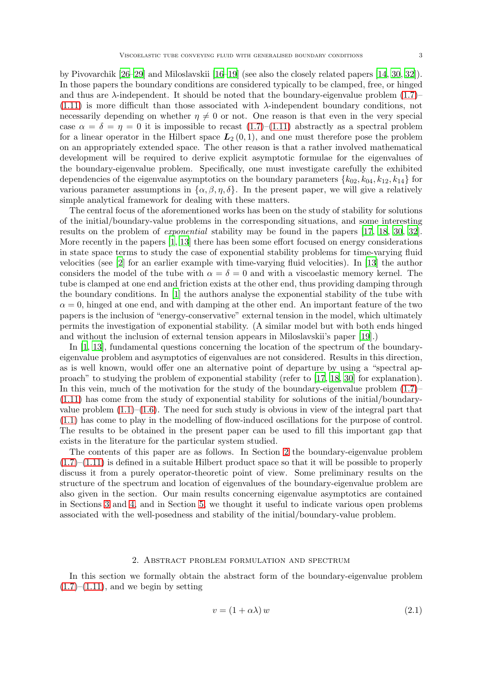by Pivovarchik [\[26](#page-17-6)[–29\]](#page-17-7) and Miloslavskii [\[16](#page-17-8)[–19](#page-17-9)] (see also the closely related papers [\[14](#page-16-5), [30](#page-17-10), [32](#page-17-11)]). In those papers the boundary conditions are considered typically to be clamped, free, or hinged and thus are  $\lambda$ -independent. It should be noted that the boundary-eigenvalue problem [\(1.7\)](#page-1-1)–  $(1.11)$  is more difficult than those associated with  $\lambda$ -independent boundary conditions, not necessarily depending on whether  $\eta \neq 0$  or not. One reason is that even in the very special case  $\alpha = \delta = \eta = 0$  it is impossible to recast  $(1.7)$ – $(1.11)$  abstractly as a spectral problem for a linear operator in the Hilbert space  $L_2(0,1)$ , and one must therefore pose the problem on an appropriately extended space. The other reason is that a rather involved mathematical development will be required to derive explicit asymptotic formulae for the eigenvalues of the boundary-eigenvalue problem. Specifically, one must investigate carefully the exhibited dependencies of the eigenvalue asymptotics on the boundary parameters  $\{k_{02}, k_{04}, k_{12}, k_{14}\}$  for various parameter assumptions in  $\{\alpha, \beta, \eta, \delta\}$ . In the present paper, we will give a relatively simple analytical framework for dealing with these matters.

The central focus of the aforementioned works has been on the study of stability for solutions of the initial/boundary-value problems in the corresponding situations, and some interesting results on the problem of exponential stability may be found in the papers [\[17,](#page-17-12) [18](#page-17-13), [30,](#page-17-10) [32](#page-17-11)]. More recently in the papers [\[1](#page-16-6), [13](#page-16-7)] there has been some effort focused on energy considerations in state space terms to study the case of exponential stability problems for time-varying fluid velocities (see [\[2](#page-16-8)] for an earlier example with time-varying fluid velocities). In [\[13](#page-16-7)] the author considers the model of the tube with  $\alpha = \delta = 0$  and with a viscoelastic memory kernel. The tube is clamped at one end and friction exists at the other end, thus providing damping through the boundary conditions. In [\[1](#page-16-6)] the authors analyse the exponential stability of the tube with  $\alpha = 0$ , hinged at one end, and with damping at the other end. An important feature of the two papers is the inclusion of "energy-conservative" external tension in the model, which ultimately permits the investigation of exponential stability. (A similar model but with both ends hinged and without the inclusion of external tension appears in Miloslavskii's paper [\[19](#page-17-9)].)

In [\[1,](#page-16-6) [13\]](#page-16-7), fundamental questions concerning the location of the spectrum of the boundaryeigenvalue problem and asymptotics of eigenvalues are not considered. Results in this direction, as is well known, would offer one an alternative point of departure by using a "spectral approach" to studying the problem of exponential stability (refer to [\[17](#page-17-12), [18,](#page-17-13) [30\]](#page-17-10) for explanation). In this vein, much of the motivation for the study of the boundary-eigenvalue problem  $(1.7)$ [\(1.11\)](#page-1-2) has come from the study of exponential stability for solutions of the initial/boundaryvalue problem  $(1.1)$ – $(1.6)$ . The need for such study is obvious in view of the integral part that [\(1.1\)](#page-0-0) has come to play in the modelling of flow-induced oscillations for the purpose of control. The results to be obtained in the present paper can be used to fill this important gap that exists in the literature for the particular system studied.

The contents of this paper are as follows. In Section [2](#page-2-0) the boundary-eigenvalue problem  $(1.7)$ – $(1.11)$  is defined in a suitable Hilbert product space so that it will be possible to properly discuss it from a purely operator-theoretic point of view. Some preliminary results on the structure of the spectrum and location of eigenvalues of the boundary-eigenvalue problem are also given in the section. Our main results concerning eigenvalue asymptotics are contained in Sections [3](#page-9-0) and [4,](#page-14-0) and in Section [5,](#page-15-0) we thought it useful to indicate various open problems associated with the well-posedness and stability of the initial/boundary-value problem.

#### 2. Abstract problem formulation and spectrum

<span id="page-2-0"></span>In this section we formally obtain the abstract form of the boundary-eigenvalue problem  $(1.7)$ – $(1.11)$ , and we begin by setting

<span id="page-2-1"></span>
$$
v = (1 + \alpha \lambda) w \tag{2.1}
$$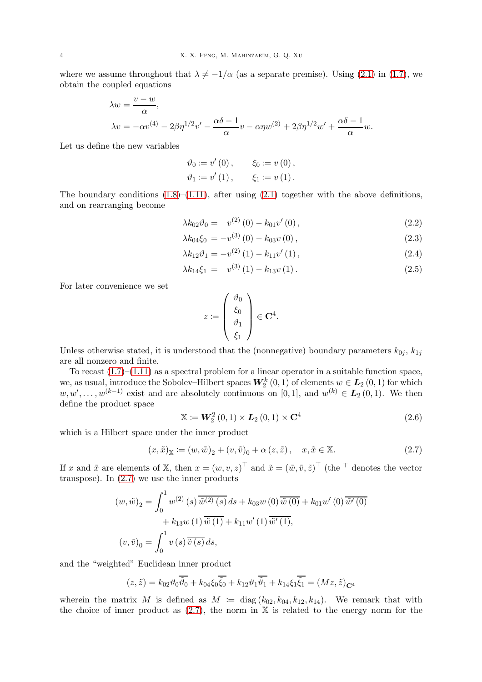$$
\begin{aligned} \lambda w &= \frac{v - w}{\alpha}, \\ \lambda v &= -\alpha v^{(4)} - 2\beta \eta^{1/2} v' - \frac{\alpha \delta - 1}{\alpha} v - \alpha \eta w^{(2)} + 2\beta \eta^{1/2} w' + \frac{\alpha \delta - 1}{\alpha} w. \end{aligned}
$$

Let us define the new variables

$$
\vartheta_0 := v'(0), \qquad \xi_0 := v(0),
$$
  
\n $\vartheta_1 := v'(1), \qquad \xi_1 := v(1).$ 

The boundary conditions  $(1.8)$ – $(1.11)$ , after using  $(2.1)$  together with the above definitions, and on rearranging become

$$
\lambda k_{02} \vartheta_0 = v^{(2)}(0) - k_{01} v'(0) , \qquad (2.2)
$$

$$
\lambda k_{04}\xi_0 = -v^{(3)}(0) - k_{03}v(0), \qquad (2.3)
$$

$$
\lambda k_{12}\vartheta_1 = -v^{(2)}(1) - k_{11}v'(1), \qquad (2.4)
$$

$$
\lambda k_{14} \xi_1 = v^{(3)}(1) - k_{13} v(1). \tag{2.5}
$$

For later convenience we set

<span id="page-3-2"></span><span id="page-3-1"></span>
$$
z := \left(\begin{array}{c} \vartheta_0 \\ \xi_0 \\ \vartheta_1 \\ \xi_1 \end{array}\right) \in \mathbf{C}^4.
$$

Unless otherwise stated, it is understood that the (nonnegative) boundary parameters  $k_{0j}$ ,  $k_{1j}$ are all nonzero and finite.

To recast  $(1.7)$ – $(1.11)$  as a spectral problem for a linear operator in a suitable function space, we, as usual, introduce the Sobolev–Hilbert spaces  $W_2^k(0,1)$  of elements  $w \in L_2(0,1)$  for which  $w, w', \ldots, w^{(k-1)}$  exist and are absolutely continuous on [0, 1], and  $w^{(k)} \in L_2(0, 1)$ . We then define the product space

<span id="page-3-3"></span>
$$
\mathbb{X} := \mathbf{W}_2^2(0,1) \times \mathbf{L}_2(0,1) \times \mathbf{C}^4 \tag{2.6}
$$

which is a Hilbert space under the inner product

<span id="page-3-0"></span>
$$
(x, \tilde{x})_{\mathbb{X}} \coloneqq (w, \tilde{w})_2 + (v, \tilde{v})_0 + \alpha (z, \tilde{z}), \quad x, \tilde{x} \in \mathbb{X}.
$$
 (2.7)

If x and  $\tilde{x}$  are elements of X, then  $x = (w, v, z)^{\top}$  and  $\tilde{x} = (\tilde{w}, \tilde{v}, \tilde{z})^{\top}$  (the  $\top$  denotes the vector transpose). In  $(2.7)$  we use the inner products

$$
(w, \tilde{w})_2 = \int_0^1 w^{(2)}(s) \overline{\tilde{w}^{(2)}(s)} ds + k_{03}w(0) \overline{\tilde{w}(0)} + k_{01}w'(0) \overline{\tilde{w}'(0)} + k_{13}w(1) \overline{\tilde{w}(1)} + k_{11}w'(1) \overline{\tilde{w}'(1)},
$$
  

$$
(v, \tilde{v})_0 = \int_0^1 v(s) \overline{\tilde{v}(s)} ds,
$$

and the "weighted" Euclidean inner product

$$
(z,\tilde{z}) = k_{02}\vartheta_0\overline{\tilde{\vartheta}_0} + k_{04}\xi_0\overline{\tilde{\xi}_0} + k_{12}\vartheta_1\overline{\tilde{\vartheta}_1} + k_{14}\xi_1\overline{\tilde{\xi}_1} = (Mz,\tilde{z})_{\mathbf{C}^4}
$$

wherein the matrix M is defined as  $M := diag(k_{02}, k_{04}, k_{12}, k_{14})$ . We remark that with the choice of inner product as  $(2.7)$ , the norm in X is related to the energy norm for the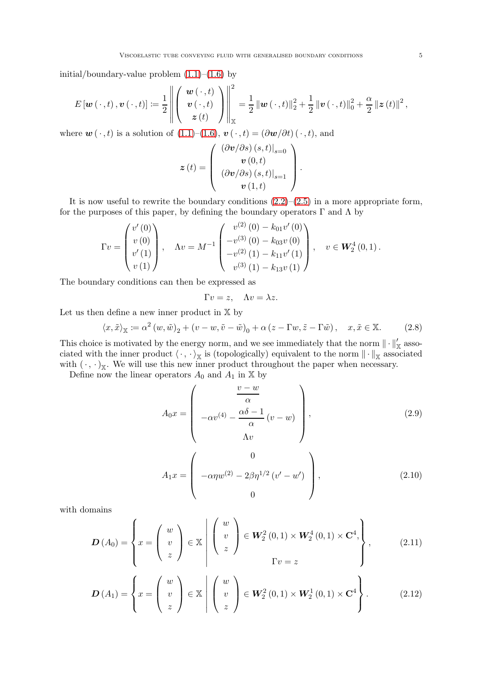initial/boundary-value problem [\(1.1\)](#page-0-0)–[\(1.6\)](#page-1-0) by

$$
E\left[\boldsymbol{w}\left(\,\cdot\,,t\right),\boldsymbol{v}\left(\,\cdot\,,t\right)\right] \coloneqq \frac{1}{2}\left\|\left(\begin{array}{c} \boldsymbol{w}\left(\,\cdot\,,t\right) \\ \boldsymbol{v}\left(\,\cdot\,,t\right) \\ z\left(t\right) \end{array}\right)\right\|_{\mathbb{X}}^{2} = \frac{1}{2}\left\|\boldsymbol{w}\left(\,\cdot\,,t\right)\right\|_{2}^{2} + \frac{1}{2}\left\|\boldsymbol{v}\left(\,\cdot\,,t\right)\right\|_{0}^{2} + \frac{\alpha}{2}\left\|\boldsymbol{z}\left(t\right)\right\|^{2},
$$

where  $\mathbf{w}(\cdot,t)$  is a solution of  $(1.1)–(1.6), \mathbf{v}(\cdot,t) = (\partial \mathbf{w}/\partial t) (\cdot,t)$  $(1.1)–(1.6), \mathbf{v}(\cdot,t) = (\partial \mathbf{w}/\partial t) (\cdot,t)$  $(1.1)–(1.6), \mathbf{v}(\cdot,t) = (\partial \mathbf{w}/\partial t) (\cdot,t)$ , and

$$
\boldsymbol{z}\left(t\right)=\left(\begin{array}{c} \left(\partial\boldsymbol{v}/\partial s\right)\left(s,t\right)\right|_{s=0}\\ \boldsymbol{v}\left(0,t\right)\\ \left(\partial\boldsymbol{v}/\partial s\right)\left(s,t\right)\right|_{s=1}\\ \boldsymbol{v}\left(1,t\right) \end{array}\right).
$$

It is now useful to rewrite the boundary conditions  $(2.2)$ – $(2.5)$  in a more appropriate form, for the purposes of this paper, by defining the boundary operators  $\Gamma$  and  $\Lambda$  by

$$
\Gamma v = \begin{pmatrix} v'(0) \\ v(0) \\ v'(1) \\ v(1) \end{pmatrix}, \quad \Lambda v = M^{-1} \begin{pmatrix} v^{(2)}(0) - k_{01}v'(0) \\ -v^{(3)}(0) - k_{03}v(0) \\ -v^{(2)}(1) - k_{11}v'(1) \\ v^{(3)}(1) - k_{13}v(1) \end{pmatrix}, \quad v \in \mathbf{W}_2^4(0,1).
$$

The boundary conditions can then be expressed as

<span id="page-4-0"></span>
$$
\Gamma v = z, \quad \Lambda v = \lambda z.
$$

Let us then define a new inner product in  $X$  by

<span id="page-4-2"></span>
$$
\langle x, \tilde{x} \rangle_{\mathbb{X}} \coloneqq \alpha^2 \left( w, \tilde{w} \right)_2 + \left( v - w, \tilde{v} - \tilde{w} \right)_0 + \alpha \left( z - \Gamma w, \tilde{z} - \Gamma \tilde{w} \right), \quad x, \tilde{x} \in \mathbb{X}.
$$
 (2.8)

This choice is motivated by the energy norm, and we see immediately that the norm  $\|\cdot\|'_{\mathbb{X}}$  associated with the inner product  $\langle \cdot, \cdot \rangle_{\mathbb{X}}$  is (topologically) equivalent to the norm  $\|\cdot\|_{\mathbb{X}}$  associated with  $(\cdot, \cdot)_{\mathbb{X}}$ . We will use this new inner product throughout the paper when necessary.

Define now the linear operators  $A_0$  and  $A_1$  in  $X$  by

<span id="page-4-1"></span>
$$
A_0 x = \begin{pmatrix} \frac{v - w}{\alpha} \\ -\alpha v^{(4)} - \frac{\alpha \delta - 1}{\alpha} (v - w) \\ \Lambda v \end{pmatrix},
$$
(2.9)  

$$
A_1 x = \begin{pmatrix} 0 \\ -\alpha \eta w^{(2)} - 2\beta \eta^{1/2} (v' - w') \\ 0 \end{pmatrix},
$$
(2.10)

with domains

$$
\boldsymbol{D}\left(A_{0}\right) = \left\{ x = \left(\begin{array}{c} w \\ v \\ z \end{array}\right) \in \mathbb{X} \middle| \left(\begin{array}{c} w \\ v \\ z \end{array}\right) \in \boldsymbol{W}_{2}^{2}\left(0,1\right) \times \boldsymbol{W}_{2}^{4}\left(0,1\right) \times \mathbf{C}^{4}, \right\},\tag{2.11}
$$

<span id="page-4-3"></span>
$$
\boldsymbol{D}\left(A_{1}\right)=\left\{x=\left(\begin{array}{c}w\\v\\z\end{array}\right)\in\mathbb{X}\,\middle|\,\left(\begin{array}{c}w\\v\\z\end{array}\right)\in\boldsymbol{W}_{2}^{2}\left(0,1\right)\times\boldsymbol{W}_{2}^{1}\left(0,1\right)\times\mathbf{C}^{4}\right\}.\tag{2.12}
$$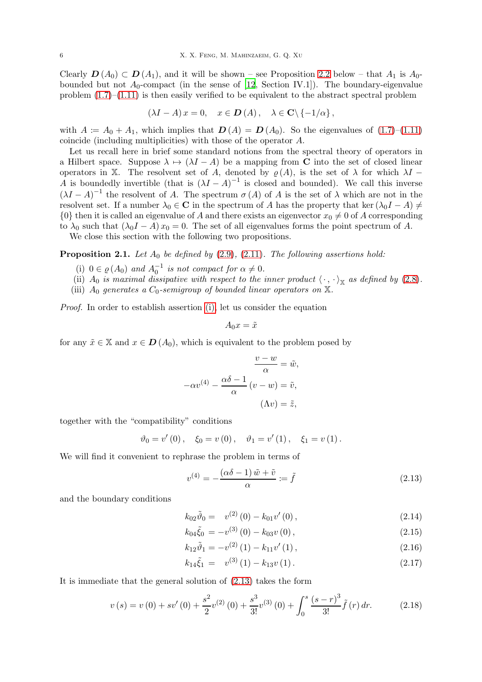Clearly  $D(A_0) \subset D(A_1)$ , and it will be shown – see Proposition [2.2](#page-7-0) below – that  $A_1$  is  $A_0$ bounded but not  $A_0$ -compact (in the sense of [\[12](#page-16-9), Section IV.1]). The boundary-eigenvalue problem  $(1.7)$ – $(1.11)$  is then easily verified to be equivalent to the abstract spectral problem

$$
(\lambda I - A) x = 0, \quad x \in \mathbf{D}(A), \quad \lambda \in \mathbf{C} \backslash \{-1/\alpha\},\
$$

with  $A = A_0 + A_1$ , which implies that  $D(A) = D(A_0)$ . So the eigenvalues of [\(1.7\)](#page-1-1)–[\(1.11\)](#page-1-2) coincide (including multiplicities) with those of the operator A.

Let us recall here in brief some standard notions from the spectral theory of operators in a Hilbert space. Suppose  $\lambda \mapsto (\lambda I - A)$  be a mapping from C into the set of closed linear operators in X. The resolvent set of A, denoted by  $\rho(A)$ , is the set of  $\lambda$  for which  $\lambda I$  – A is boundedly invertible (that is  $(\lambda I - A)^{-1}$  is closed and bounded). We call this inverse  $(\lambda I - A)^{-1}$  the resolvent of A. The spectrum  $\sigma(A)$  of A is the set of  $\lambda$  which are not in the resolvent set. If a number  $\lambda_0 \in \mathbb{C}$  in the spectrum of A has the property that ker  $(\lambda_0 I - A) \neq$  $\{0\}$  then it is called an eigenvalue of A and there exists an eigenvector  $x_0 \neq 0$  of A corresponding to  $\lambda_0$  such that  $(\lambda_0 I - A)x_0 = 0$ . The set of all eigenvalues forms the point spectrum of A.

We close this section with the following two propositions.

### <span id="page-5-7"></span><span id="page-5-0"></span>**Proposition 2.1.** Let  $A_0$  be defined by [\(2.9\)](#page-4-0), [\(2.11\)](#page-4-1). The following assertions hold:

- (i)  $0 \in \varrho(A_0)$  and  $A_0^{-1}$  is not compact for  $\alpha \neq 0$ .
- <span id="page-5-6"></span><span id="page-5-5"></span>(ii)  $A_0$  is maximal dissipative with respect to the inner product  $\langle \cdot, \cdot \rangle_{\mathbb{X}}$  as defined by [\(2.8\)](#page-4-2).
- (iii)  $A_0$  generates a  $C_0$ -semigroup of bounded linear operators on  $\mathbb{X}$ .

Proof. In order to establish assertion [\(i\),](#page-5-0) let us consider the equation

$$
A_0x = \tilde{x}
$$

for any  $\tilde{x} \in X$  and  $x \in D(A_0)$ , which is equivalent to the problem posed by

$$
\frac{v - w}{\alpha} = \tilde{w},
$$

$$
-\alpha v^{(4)} - \frac{\alpha \delta - 1}{\alpha} (v - w) = \tilde{v},
$$

$$
(\Lambda v) = \tilde{z},
$$

together with the "compatibility" conditions

$$
\vartheta_0 = v'(0), \quad \xi_0 = v(0), \quad \vartheta_1 = v'(1), \quad \xi_1 = v(1).
$$

We will find it convenient to rephrase the problem in terms of

<span id="page-5-1"></span>
$$
v^{(4)} = -\frac{(\alpha\delta - 1)\tilde{w} + \tilde{v}}{\alpha} := \tilde{f}
$$
\n(2.13)

and the boundary conditions

<span id="page-5-3"></span>
$$
k_{02}\tilde{\vartheta}_0 = v^{(2)}(0) - k_{01}v'(0) , \qquad (2.14)
$$

$$
k_{04}\tilde{\xi}_0 = -v^{(3)}(0) - k_{03}v(0), \qquad (2.15)
$$

$$
k_{12}\tilde{\vartheta}_1 = -v^{(2)}(1) - k_{11}v'(1), \qquad (2.16)
$$

<span id="page-5-4"></span>
$$
k_{14}\tilde{\xi}_1 = v^{(3)}(1) - k_{13}v(1). \qquad (2.17)
$$

It is immediate that the general solution of [\(2.13\)](#page-5-1) takes the form

<span id="page-5-2"></span>
$$
v(s) = v(0) + sv'(0) + \frac{s^2}{2}v^{(2)}(0) + \frac{s^3}{3!}v^{(3)}(0) + \int_0^s \frac{(s-r)^3}{3!}\tilde{f}(r) dr.
$$
 (2.18)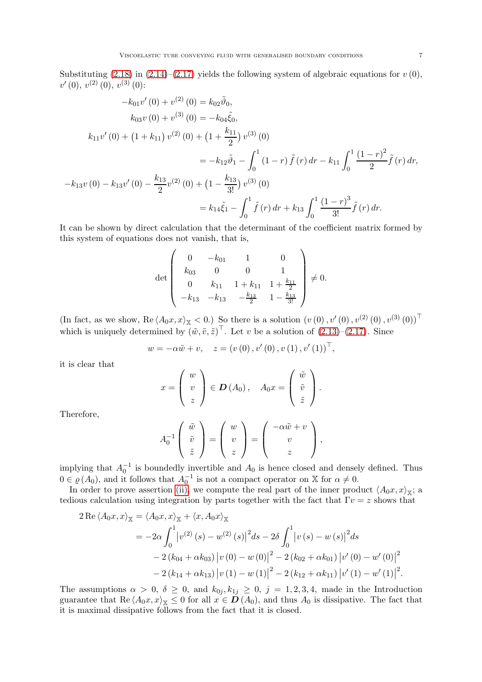Substituting [\(2.18\)](#page-5-2) in [\(2.14\)](#page-5-3)–[\(2.17\)](#page-5-4) yields the following system of algebraic equations for  $v(0)$ ,  $v'(0), v^{(2)}(0), v^{(3)}(0)$ :

$$
-k_{01}v'(0) + v^{(2)}(0) = k_{02}\tilde{\vartheta}_0,
$$
  
\n
$$
k_{03}v(0) + v^{(3)}(0) = -k_{04}\tilde{\xi}_0,
$$
  
\n
$$
k_{11}v'(0) + (1 + k_{11})v^{(2)}(0) + (1 + \frac{k_{11}}{2})v^{(3)}(0)
$$
  
\n
$$
= -k_{12}\tilde{\vartheta}_1 - \int_0^1 (1 - r)\tilde{f}(r) dr - k_{11} \int_0^1 \frac{(1 - r)^2}{2}\tilde{f}(r) dr,
$$
  
\n
$$
-k_{13}v(0) - k_{13}v'(0) - \frac{k_{13}}{2}v^{(2)}(0) + (1 - \frac{k_{13}}{3!})v^{(3)}(0)
$$
  
\n
$$
= k_{14}\tilde{\xi}_1 - \int_0^1 \tilde{f}(r) dr + k_{13} \int_0^1 \frac{(1 - r)^3}{3!} \tilde{f}(r) dr.
$$

It can be shown by direct calculation that the determinant of the coefficient matrix formed by this system of equations does not vanish, that is,

$$
\det\left(\begin{array}{cccc} 0 & -k_{01} & 1 & 0 \\ k_{03} & 0 & 0 & 1 \\ 0 & k_{11} & 1 + k_{11} & 1 + \frac{k_{11}}{2} \\ -k_{13} & -k_{13} & -\frac{k_{13}}{2} & 1 - \frac{k_{13}}{3!} \end{array}\right) \neq 0.
$$

(In fact, as we show,  $\text{Re} \langle A_0 x, x \rangle_{\mathbb{X}} < 0$ .) So there is a solution  $(v(0), v'(0), v^{(2)}(0), v^{(3)}(0))^\top$ which is uniquely determined by  $(\tilde{w}, \tilde{v}, \tilde{z})^{\top}$ . Let v be a solution of  $(2.13)$ – $(2.17)$ . Since

$$
w = -\alpha \tilde{w} + v
$$
,  $z = (v(0), v'(0), v(1), v'(1))^\top$ ,

it is clear that

$$
x = \left(\begin{array}{c} w \\ v \\ z \end{array}\right) \in \mathbf{D}(A_0), \quad A_0 x = \left(\begin{array}{c} \tilde{w} \\ \tilde{v} \\ \tilde{z} \end{array}\right).
$$

Therefore,

$$
A_0^{-1}\left(\begin{array}{c}\tilde{w}\\ \tilde{v}\\ \tilde{z}\end{array}\right)=\left(\begin{array}{c}w\\ v\\ z\end{array}\right)=\left(\begin{array}{c}-\alpha \tilde{w}+v\\ v\\ z\end{array}\right),
$$

implying that  $A_0^{-1}$  is boundedly invertible and  $A_0$  is hence closed and densely defined. Thus  $0 \in \varrho(A_0)$ , and it follows that  $A_0^{-1}$  is not a compact operator on X for  $\alpha \neq 0$ .

In order to prove assertion [\(ii\),](#page-5-5) we compute the real part of the inner product  $\langle A_0 x, x \rangle_{\mathbb{X}}$ ; a tedious calculation using integration by parts together with the fact that  $\Gamma v = z$  shows that

$$
2 \operatorname{Re} \langle A_0 x, x \rangle_{\mathbb{X}} = \langle A_0 x, x \rangle_{\mathbb{X}} + \langle x, A_0 x \rangle_{\mathbb{X}}
$$
  
=  $-2\alpha \int_0^1 |v^{(2)}(s) - w^{(2)}(s)|^2 ds - 2\delta \int_0^1 |v(s) - w(s)|^2 ds$   
 $- 2 (k_{04} + \alpha k_{03}) |v(0) - w(0)|^2 - 2 (k_{02} + \alpha k_{01}) |v'(0) - w'(0)|^2$   
 $- 2 (k_{14} + \alpha k_{13}) |v(1) - w(1)|^2 - 2 (k_{12} + \alpha k_{11}) |v'(1) - w'(1)|^2.$ 

The assumptions  $\alpha > 0$ ,  $\delta \geq 0$ , and  $k_{0j}$ ,  $k_{1j} \geq 0$ ,  $j = 1, 2, 3, 4$ , made in the Introduction guarantee that Re  $\langle A_0x, x \rangle_{\mathbb{X}} \leq 0$  for all  $x \in D(A_0)$ , and thus  $A_0$  is dissipative. The fact that it is maximal dissipative follows from the fact that it is closed.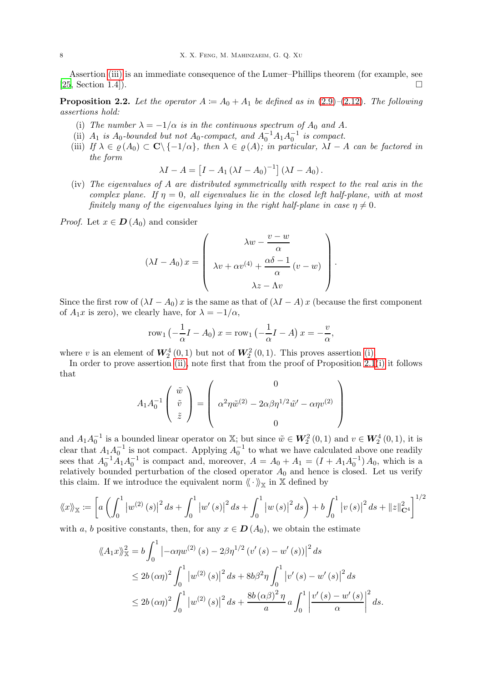Assertion [\(iii\)](#page-5-6) is an immediate consequence of the Lumer–Phillips theorem (for example, see  $[25, Section 1.4].$  $[25, Section 1.4].$ 

<span id="page-7-1"></span><span id="page-7-0"></span>**Proposition 2.2.** Let the operator  $A := A_0 + A_1$  be defined as in [\(2.9\)](#page-4-0)–[\(2.12\)](#page-4-3). The following assertions hold:

- <span id="page-7-2"></span>(i) The number  $\lambda = -1/\alpha$  is in the continuous spectrum of  $A_0$  and A.
- <span id="page-7-3"></span>(ii)  $A_1$  is  $A_0$ -bounded but not  $A_0$ -compact, and  $A_0^{-1}A_1A_0^{-1}$  is compact.
- (iii) If  $\lambda \in \rho(A_0) \subset \mathbf{C} \setminus \{-1/\alpha\}$ , then  $\lambda \in \rho(A)$ ; in particular,  $\lambda I A$  can be factored in the form

$$
\lambda I - A = \left[ I - A_1 \left( \lambda I - A_0 \right)^{-1} \right] \left( \lambda I - A_0 \right).
$$

<span id="page-7-4"></span>(iv) The eigenvalues of A are distributed symmetrically with respect to the real axis in the complex plane. If  $\eta = 0$ , all eigenvalues lie in the closed left half-plane, with at most finitely many of the eigenvalues lying in the right half-plane in case  $\eta \neq 0$ .

*Proof.* Let  $x \in D(A_0)$  and consider

$$
(\lambda I - A_0) x = \begin{pmatrix} \lambda w - \frac{v - w}{\alpha} \\ \lambda v + \alpha v^{(4)} + \frac{\alpha \delta - 1}{\alpha} (v - w) \\ \lambda z - \Lambda v \end{pmatrix}.
$$

Since the first row of  $(\lambda I - A_0)x$  is the same as that of  $(\lambda I - A)x$  (because the first component of  $A_1x$  is zero), we clearly have, for  $\lambda = -1/\alpha$ ,

$$
row1 (-\frac{1}{\alpha}I - A0) x = row1 (-\frac{1}{\alpha}I - A) x = -\frac{v}{\alpha},
$$

where v is an element of  $W_2^4(0,1)$  but not of  $W_2^2(0,1)$ . This proves assertion [\(i\).](#page-7-1)

In order to prove assertion [\(ii\),](#page-7-2) note first that from the proof of Proposition [2.1](#page-5-7)[\(i\)](#page-5-0) it follows that

$$
A_1 A_0^{-1} \begin{pmatrix} \tilde{w} \\ \tilde{v} \\ \tilde{z} \end{pmatrix} = \begin{pmatrix} 0 \\ \alpha^2 \eta \tilde{w}^{(2)} - 2\alpha \beta \eta^{1/2} \tilde{w}' - \alpha \eta v^{(2)} \\ 0 \end{pmatrix}
$$

and  $A_1A_0^{-1}$  is a bounded linear operator on X; but since  $\tilde{w} \in W_2^2(0,1)$  and  $v \in W_2^4(0,1)$ , it is  $\alpha_0$  is a bunded linear operator on  $\alpha$ , but since  $\alpha \in W_2$  (0, 1) and  $\alpha \in W_2$ clear that  $A_1 A_0^{-1}$  is not compact. Applying  $A_0^{-1}$  to what we have calculated above one readily sees that  $A_0^{-1}A_1A_0^{-1}$  is compact and, moreover,  $A = A_0 + A_1 = (I + A_1A_0^{-1})A_0$ , which is a relatively bounded perturbation of the closed operator  $A_0$  and hence is closed. Let us verify this claim. If we introduce the equivalent norm  $\overline{\langle\!\langle \, \cdot\, \rangle\!\rangle_{\mathbb X}}$  in  $\mathbb X$  defined by

$$
\langle x \rangle_{\mathbb{X}} := \left[ a \left( \int_0^1 \left| w^{(2)}(s) \right|^2 ds + \int_0^1 \left| w'(s) \right|^2 ds + \int_0^1 \left| w(s) \right|^2 ds \right) + b \int_0^1 \left| v(s) \right|^2 ds + \|z\|_{\mathbf{C}^4}^2 \right]^{1/2}
$$

with a, b positive constants, then, for any  $x \in D(A_0)$ , we obtain the estimate

$$
\langle \langle A_{1}x \rangle \rangle_{\mathbb{X}}^{2} = b \int_{0}^{1} \left| -\alpha \eta w^{(2)}(s) - 2\beta \eta^{1/2} (v'(s) - w'(s)) \right|^{2} ds
$$
  
\n
$$
\leq 2b (\alpha \eta)^{2} \int_{0}^{1} |w^{(2)}(s)|^{2} ds + 8b \beta^{2} \eta \int_{0}^{1} |v'(s) - w'(s)|^{2} ds
$$
  
\n
$$
\leq 2b (\alpha \eta)^{2} \int_{0}^{1} |w^{(2)}(s)|^{2} ds + \frac{8b (\alpha \beta)^{2} \eta}{a} a \int_{0}^{1} \left| \frac{v'(s) - w'(s)}{\alpha} \right|^{2} ds.
$$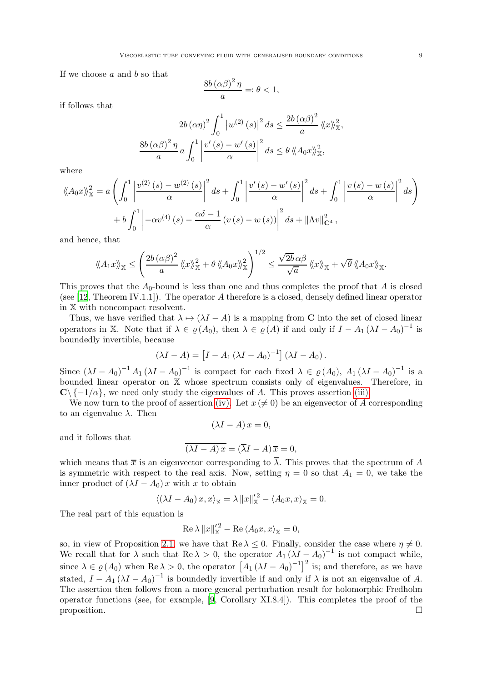If we choose  $a$  and  $b$  so that

$$
\frac{8b\left(\alpha\beta\right)^{2}\eta}{a} =: \theta < 1,
$$

if follows that

$$
2b(\alpha\eta)^{2} \int_{0}^{1} |w^{(2)}(s)|^{2} ds \leq \frac{2b(\alpha\beta)^{2}}{a} \langle x \rangle_{\mathbb{X}}^{2}
$$

$$
\frac{8b(\alpha\beta)^{2} \eta}{a} a \int_{0}^{1} \left| \frac{v'(s) - w'(s)}{\alpha} \right|^{2} ds \leq \theta \langle A_{0}x \rangle_{\mathbb{X}}^{2},
$$

where

$$
\langle\!\langle A_0 x \rangle\!\rangle_{\mathbb{X}}^2 = a \left( \int_0^1 \left| \frac{v^{(2)}(s) - w^{(2)}(s)}{\alpha} \right|^2 ds + \int_0^1 \left| \frac{v'(s) - w'(s)}{\alpha} \right|^2 ds + \int_0^1 \left| \frac{v(s) - w(s)}{\alpha} \right|^2 ds \right)
$$

$$
+ b \int_0^1 \left| -\alpha v^{(4)}(s) - \frac{\alpha \delta - 1}{\alpha} \left( v(s) - w(s) \right) \right|^2 ds + ||\Lambda v||_{\mathbf{C}^4}^2,
$$

and hence, that

$$
\langle\!\langle A_1x\rangle\!\rangle_{\mathbb{X}} \leq \left(\frac{2b\,(\alpha\beta)^2}{a}\,\langle\!\langle x\rangle\!\rangle_{\mathbb{X}}^2 + \theta\,\langle\!\langle A_0x\rangle\!\rangle_{\mathbb{X}}^2\right)^{1/2} \leq \frac{\sqrt{2b}\,\alpha\beta}{\sqrt{a}}\,\langle\!\langle x\rangle\!\rangle_{\mathbb{X}} + \sqrt{\theta}\,\langle\!\langle A_0x\rangle\!\rangle_{\mathbb{X}}.
$$

This proves that the  $A_0$ -bound is less than one and thus completes the proof that A is closed (see [\[12](#page-16-9), Theorem IV.1.1]). The operator A therefore is a closed, densely defined linear operator in X with noncompact resolvent.

Thus, we have verified that  $\lambda \mapsto (\lambda I - A)$  is a mapping from C into the set of closed linear operators in X. Note that if  $\lambda \in \varrho(A_0)$ , then  $\lambda \in \varrho(A)$  if and only if  $I - A_1 (\lambda I - A_0)^{-1}$  is boundedly invertible, because

$$
(\lambda I - A) = \left[I - A_1(\lambda I - A_0)^{-1}\right](\lambda I - A_0).
$$

Since  $(\lambda I - A_0)^{-1} A_1 (\lambda I - A_0)^{-1}$  is compact for each fixed  $\lambda \in \varrho(A_0)$ ,  $A_1 (\lambda I - A_0)^{-1}$  is a bounded linear operator on X whose spectrum consists only of eigenvalues. Therefore, in  $\mathbb{C}\setminus\{-1/\alpha\}$ , we need only study the eigenvalues of A. This proves assertion [\(iii\).](#page-7-3)

We now turn to the proof of assertion [\(iv\).](#page-7-4) Let  $x \neq 0$ ) be an eigenvector of A corresponding to an eigenvalue  $\lambda$ . Then

$$
(\lambda I - A) x = 0,
$$

and it follows that

$$
\overline{(\lambda I - A) x} = (\overline{\lambda} I - A) \overline{x} = 0,
$$

which means that  $\bar{x}$  is an eigenvector corresponding to  $\lambda$ . This proves that the spectrum of A is symmetric with respect to the real axis. Now, setting  $\eta = 0$  so that  $A_1 = 0$ , we take the inner product of  $(\lambda I - A_0)x$  with x to obtain

$$
\langle (\lambda I - A_0) x, x \rangle_{\mathbb{X}} = \lambda ||x||_{\mathbb{X}}'^2 - \langle A_0 x, x \rangle_{\mathbb{X}} = 0.
$$

The real part of this equation is

$$
\operatorname{Re}\lambda \|x\|_{\mathbb{X}}'^2 - \operatorname{Re}\langle A_0 x, x \rangle_{\mathbb{X}} = 0,
$$

so, in view of Proposition [2.1,](#page-5-7) we have that  $\text{Re }\lambda \leq 0$ . Finally, consider the case where  $\eta \neq 0$ . We recall that for  $\lambda$  such that Re  $\lambda > 0$ , the operator  $A_1 (\lambda I - A_0)^{-1}$  is not compact while, since  $\lambda \in \varrho(A_0)$  when Re  $\lambda > 0$ , the operator  $[A_1 (\lambda I - A_0)^{-1}]^2$  is; and therefore, as we have stated,  $I - A_1 (\lambda I - A_0)^{-1}$  is boundedly invertible if and only if  $\lambda$  is not an eigenvalue of A. The assertion then follows from a more general perturbation result for holomorphic Fredholm operator functions (see, for example, [\[9,](#page-16-10) Corollary XI.8.4]). This completes the proof of the proposition.  $\Box$ 

,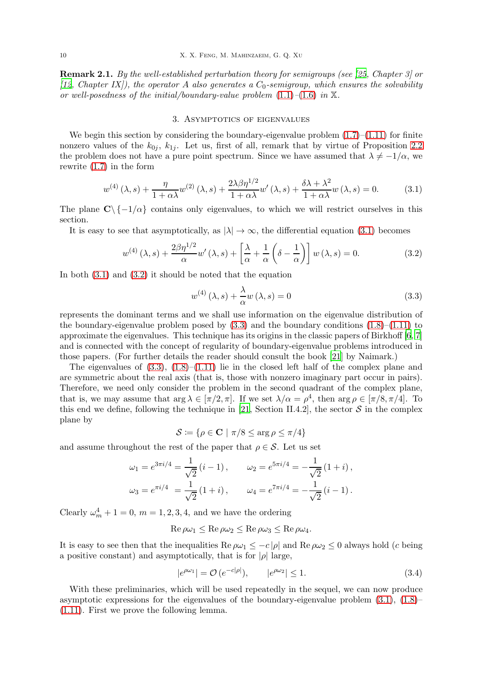Remark 2.1. By the well-established perturbation theory for semigroups (see [\[25](#page-17-14), Chapter 3] or [\[12](#page-16-9), Chapter IX]), the operator A also generates a  $C_0$ -semigroup, which ensures the solvability or well-posedness of the initial/boundary-value problem  $(1.1)$ – $(1.6)$  in X.

## 3. Asymptotics of eigenvalues

<span id="page-9-0"></span>We begin this section by considering the boundary-eigenvalue problem  $(1.7)$ – $(1.11)$  for finite nonzero values of the  $k_{0i}$ ,  $k_{1i}$ . Let us, first of all, remark that by virtue of Proposition [2.2](#page-7-0) the problem does not have a pure point spectrum. Since we have assumed that  $\lambda \neq -1/\alpha$ , we rewrite [\(1.7\)](#page-1-1) in the form

<span id="page-9-1"></span>
$$
w^{(4)}(\lambda,s) + \frac{\eta}{1+\alpha\lambda}w^{(2)}(\lambda,s) + \frac{2\lambda\beta\eta^{1/2}}{1+\alpha\lambda}w'(\lambda,s) + \frac{\delta\lambda+\lambda^2}{1+\alpha\lambda}w(\lambda,s) = 0.
$$
 (3.1)

The plane  $C \setminus \{-1/\alpha\}$  contains only eigenvalues, to which we will restrict ourselves in this section.

It is easy to see that asymptotically, as  $|\lambda| \to \infty$ , the differential equation [\(3.1\)](#page-9-1) becomes

<span id="page-9-2"></span>
$$
w^{(4)}(\lambda, s) + \frac{2\beta\eta^{1/2}}{\alpha}w'(\lambda, s) + \left[\frac{\lambda}{\alpha} + \frac{1}{\alpha}\left(\delta - \frac{1}{\alpha}\right)\right]w(\lambda, s) = 0.
$$
 (3.2)

In both [\(3.1\)](#page-9-1) and [\(3.2\)](#page-9-2) it should be noted that the equation

<span id="page-9-3"></span>
$$
w^{(4)}(\lambda, s) + \frac{\lambda}{\alpha} w(\lambda, s) = 0
$$
\n(3.3)

represents the dominant terms and we shall use information on the eigenvalue distribution of the boundary-eigenvalue problem posed by  $(3.3)$  and the boundary conditions  $(1.8)$ – $(1.11)$  to approximate the eigenvalues. This technique has its origins in the classic papers of Birkhoff [\[6](#page-16-11), [7\]](#page-16-12) and is connected with the concept of regularity of boundary-eigenvalue problems introduced in those papers. (For further details the reader should consult the book [\[21\]](#page-17-15) by Naimark.)

The eigenvalues of  $(3.3)$ ,  $(1.8)$ – $(1.11)$  lie in the closed left half of the complex plane and are symmetric about the real axis (that is, those with nonzero imaginary part occur in pairs). Therefore, we need only consider the problem in the second quadrant of the complex plane, that is, we may assume that  $\arg \lambda \in [\pi/2, \pi]$ . If we set  $\lambda/\alpha = \rho^4$ , then  $\arg \rho \in [\pi/8, \pi/4]$ . To this end we define, following the technique in [\[21](#page-17-15), Section II.4.2], the sector  $S$  in the complex plane by

$$
\mathcal{S} \coloneqq \{ \rho \in \mathbf{C} \mid \pi/8 \le \arg \rho \le \pi/4 \}
$$

and assume throughout the rest of the paper that  $\rho \in \mathcal{S}$ . Let us set

$$
\omega_1 = e^{3\pi i/4} = \frac{1}{\sqrt{2}} (i - 1), \qquad \omega_2 = e^{5\pi i/4} = -\frac{1}{\sqrt{2}} (1 + i),
$$
  

$$
\omega_3 = e^{\pi i/4} = \frac{1}{\sqrt{2}} (1 + i), \qquad \omega_4 = e^{7\pi i/4} = -\frac{1}{\sqrt{2}} (i - 1).
$$

Clearly  $\omega_m^4 + 1 = 0$ ,  $m = 1, 2, 3, 4$ , and we have the ordering

$$
\operatorname{Re}\rho\omega_1 \leq \operatorname{Re}\rho\omega_2 \leq \operatorname{Re}\rho\omega_3 \leq \operatorname{Re}\rho\omega_4.
$$

It is easy to see then that the inequalities Re  $\rho\omega_1 \leq -c |\rho|$  and Re  $\rho\omega_2 \leq 0$  always hold (c being a positive constant) and asymptotically, that is for  $|\rho|$  large,

<span id="page-9-4"></span>
$$
|e^{\rho \omega_1}| = \mathcal{O}(e^{-c|\rho|}), \qquad |e^{\rho \omega_2}| \le 1. \tag{3.4}
$$

With these preliminaries, which will be used repeatedly in the sequel, we can now produce asymptotic expressions for the eigenvalues of the boundary-eigenvalue problem  $(3.1)$ ,  $(1.8)$ [\(1.11\)](#page-1-2). First we prove the following lemma.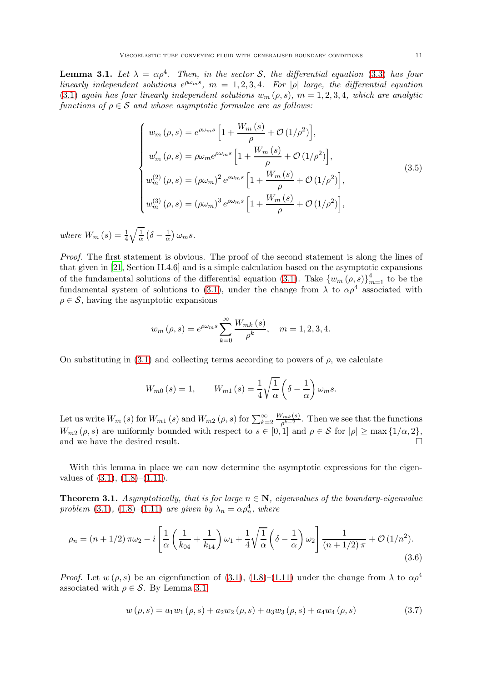<span id="page-10-0"></span>**Lemma 3.1.** Let  $\lambda = \alpha \rho^4$ . Then, in the sector S, the differential equation [\(3.3\)](#page-9-3) has four linearly independent solutions  $e^{\rho\omega_m s}$ ,  $m = 1, 2, 3, 4$ . For  $|\rho|$  large, the differential equation [\(3.1\)](#page-9-1) again has four linearly independent solutions  $w_m (\rho, s)$ ,  $m = 1, 2, 3, 4$ , which are analytic functions of  $\rho \in \mathcal{S}$  and whose asymptotic formulae are as follows:

<span id="page-10-2"></span>
$$
\begin{cases}\nw_m(\rho, s) = e^{\rho \omega_m s} \left[ 1 + \frac{W_m(s)}{\rho} + \mathcal{O}(1/\rho^2) \right], \\
w'_m(\rho, s) = \rho \omega_m e^{\rho \omega_m s} \left[ 1 + \frac{W_m(s)}{\rho} + \mathcal{O}(1/\rho^2) \right], \\
w_m^{(2)}(\rho, s) = (\rho \omega_m)^2 e^{\rho \omega_m s} \left[ 1 + \frac{W_m(s)}{\rho} + \mathcal{O}(1/\rho^2) \right], \\
w_m^{(3)}(\rho, s) = (\rho \omega_m)^3 e^{\rho \omega_m s} \left[ 1 + \frac{W_m(s)}{\rho} + \mathcal{O}(1/\rho^2) \right],\n\end{cases} \tag{3.5}
$$

where  $W_m(s) = \frac{1}{4} \sqrt{\frac{1}{\alpha}}$  $rac{1}{\alpha}(\delta - \frac{1}{\alpha})$  $\frac{1}{\alpha}$ )  $\omega_m s$ .

Proof. The first statement is obvious. The proof of the second statement is along the lines of that given in [\[21](#page-17-15), Section II.4.6] and is a simple calculation based on the asymptotic expansions of the fundamental solutions of the differential equation [\(3.1\)](#page-9-1). Take  ${w_m (\rho, s)}_{m=1}^4$  to be the fundamental system of solutions to [\(3.1\)](#page-9-1), under the change from  $\lambda$  to  $\alpha \rho^4$  associated with  $\rho \in \mathcal{S}$ , having the asymptotic expansions

$$
w_m(\rho, s) = e^{\rho \omega_m s} \sum_{k=0}^{\infty} \frac{W_{mk}(s)}{\rho^k}, \quad m = 1, 2, 3, 4.
$$

On substituting in [\(3.1\)](#page-9-1) and collecting terms according to powers of  $\rho$ , we calculate

$$
W_{m0}(s) = 1, \qquad W_{m1}(s) = \frac{1}{4} \sqrt{\frac{1}{\alpha}} \left( \delta - \frac{1}{\alpha} \right) \omega_m s.
$$

Let us write  $W_m(s)$  for  $W_{m1}(s)$  and  $W_{m2}(\rho, s)$  for  $\sum_{k=2}^{\infty} \frac{W_{mk}(s)}{\rho^{k-2}}$  $\frac{\binom{m}{k}(s)}{p^{k-2}}$ . Then we see that the functions  $W_{m2}(\rho, s)$  are uniformly bounded with respect to  $s \in [0, 1]$  and  $\rho \in \mathcal{S}$  for  $|\rho| \ge \max\{1/\alpha, 2\},\$ and we have the desired result.  $\square$ 

With this lemma in place we can now determine the asymptotic expressions for the eigenvalues of  $(3.1)$ ,  $(1.8)$ – $(1.11)$ .

<span id="page-10-4"></span>**Theorem 3.1.** Asymptotically, that is for large  $n \in \mathbb{N}$ , eigenvalues of the boundary-eigenvalue problem [\(3.1\)](#page-9-1), [\(1.8\)](#page-1-3)–[\(1.11\)](#page-1-2) are given by  $\lambda_n = \alpha \rho_n^4$ , where

<span id="page-10-3"></span>
$$
\rho_n = (n+1/2)\,\pi\omega_2 - i\left[\frac{1}{\alpha}\left(\frac{1}{k_{04}} + \frac{1}{k_{14}}\right)\omega_1 + \frac{1}{4}\sqrt{\frac{1}{\alpha}}\left(\delta - \frac{1}{\alpha}\right)\omega_2\right]\frac{1}{(n+1/2)\,\pi} + \mathcal{O}\left(1/n^2\right). \tag{3.6}
$$

*Proof.* Let  $w(\rho, s)$  be an eigenfunction of [\(3.1\)](#page-9-1), [\(1.8\)](#page-1-3)–[\(1.11\)](#page-1-2) under the change from  $\lambda$  to  $\alpha \rho^4$ associated with  $\rho \in \mathcal{S}$ . By Lemma [3.1,](#page-10-0)

<span id="page-10-1"></span>
$$
w(\rho, s) = a_1 w_1(\rho, s) + a_2 w_2(\rho, s) + a_3 w_3(\rho, s) + a_4 w_4(\rho, s)
$$
\n(3.7)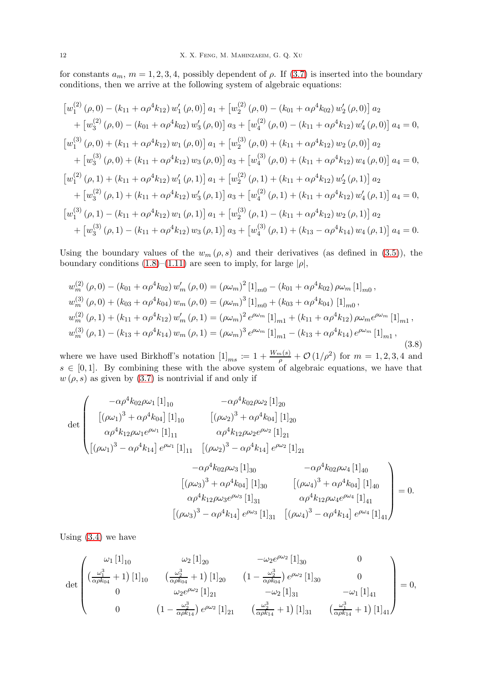for constants  $a_m$ ,  $m = 1, 2, 3, 4$ , possibly dependent of  $\rho$ . If [\(3.7\)](#page-10-1) is inserted into the boundary conditions, then we arrive at the following system of algebraic equations:

$$
[w_1^{(2)}(\rho,0) - (k_{11} + \alpha \rho^4 k_{12}) w'_1(\rho,0)] a_1 + [w_2^{(2)}(\rho,0) - (k_{01} + \alpha \rho^4 k_{02}) w'_2(\rho,0)] a_2 + [w_3^{(2)}(\rho,0) - (k_{01} + \alpha \rho^4 k_{02}) w'_3(\rho,0)] a_3 + [w_4^{(2)}(\rho,0) - (k_{11} + \alpha \rho^4 k_{12}) w'_4(\rho,0)] a_4 = 0,[w_1^{(3)}(\rho,0) + (k_{11} + \alpha \rho^4 k_{12}) w_1(\rho,0)] a_1 + [w_2^{(3)}(\rho,0) + (k_{11} + \alpha \rho^4 k_{12}) w_2(\rho,0)] a_2 + [w_3^{(3)}(\rho,0) + (k_{11} + \alpha \rho^4 k_{12}) w_3(\rho,0)] a_3 + [w_4^{(3)}(\rho,0) + (k_{11} + \alpha \rho^4 k_{12}) w_4(\rho,0)] a_4 = 0,[w_1^{(2)}(\rho,1) + (k_{11} + \alpha \rho^4 k_{12}) w'_1(\rho,1)] a_1 + [w_2^{(2)}(\rho,1) + (k_{11} + \alpha \rho^4 k_{12}) w'_2(\rho,1)] a_2 + [w_3^{(2)}(\rho,1) + (k_{11} + \alpha \rho^4 k_{12}) w'_3(\rho,1)] a_3 + [w_4^{(2)}(\rho,1) + (k_{11} + \alpha \rho^4 k_{12}) w'_4(\rho,1)] a_4 = 0,[w_1^{(3)}(\rho,1) - (k_{11} + \alpha \rho^4 k_{12}) w_1(\rho,1)] a_1 + [w_2^{(3)}(\rho,1) - (k_{11} + \alpha \rho^4 k_{12}) w_2(\rho,1)] a_2 + [w_3^{(3)}(\rho,1) - (k_{11} + \alpha \rho^4 k_{12}) w_3(\rho,1)] a_3 + [w_4^{(3)}(\rho,1) + (k_{13} - \alpha \rho^4 k_{14}) w_4(\rho,1)] a_4 = 0.
$$

Using the boundary values of the  $w_m(\rho, s)$  and their derivatives (as defined in [\(3.5\)](#page-10-2)), the boundary conditions [\(1.8\)](#page-1-3)–[\(1.11\)](#page-1-2) are seen to imply, for large  $|\rho|$ ,

<span id="page-11-0"></span>
$$
w_m^{(2)}(\rho,0) - (k_{01} + \alpha \rho^4 k_{02}) w'_m (\rho,0) = (\rho \omega_m)^2 [1]_{m0} - (k_{01} + \alpha \rho^4 k_{02}) \rho \omega_m [1]_{m0},
$$
  
\n
$$
w_m^{(3)}(\rho,0) + (k_{03} + \alpha \rho^4 k_{04}) w_m (\rho,0) = (\rho \omega_m)^3 [1]_{m0} + (k_{03} + \alpha \rho^4 k_{04}) [1]_{m0},
$$
  
\n
$$
w_m^{(2)}(\rho,1) + (k_{11} + \alpha \rho^4 k_{12}) w'_m (\rho,1) = (\rho \omega_m)^2 e^{\rho \omega_m} [1]_{m1} + (k_{11} + \alpha \rho^4 k_{12}) \rho \omega_m e^{\rho \omega_m} [1]_{m1},
$$
  
\n
$$
w_m^{(3)}(\rho,1) - (k_{13} + \alpha \rho^4 k_{14}) w_m (\rho,1) = (\rho \omega_m)^3 e^{\rho \omega_m} [1]_{m1} - (k_{13} + \alpha \rho^4 k_{14}) e^{\rho \omega_m} [1]_{m1},
$$
  
\n(3.8)

where we have used Birkhoff's notation  $[1]_{ms} \coloneqq 1 + \frac{W_m(s)}{\rho} + \mathcal{O}(1/\rho^2)$  for  $m = 1, 2, 3, 4$  and  $s \in [0,1]$ . By combining these with the above system of algebraic equations, we have that  $w(\rho, s)$  as given by [\(3.7\)](#page-10-1) is nontrivial if and only if

$$
\det \begin{pmatrix}\n-\alpha \rho^{4} k_{02} \rho \omega_{1} [1]_{10} & -\alpha \rho^{4} k_{02} \rho \omega_{2} [1]_{20} \\
[(\rho \omega_{1})^{3} + \alpha \rho^{4} k_{04}] [1]_{10} & [(\rho \omega_{2})^{3} + \alpha \rho^{4} k_{04}] [1]_{20} \\
\alpha \rho^{4} k_{12} \rho \omega_{1} e^{\rho \omega_{1}} [1]_{11} & \alpha \rho^{4} k_{12} \rho \omega_{2} e^{\rho \omega_{2}} [1]_{21} \\
[(\rho \omega_{1})^{3} - \alpha \rho^{4} k_{14}] e^{\rho \omega_{1}} [1]_{11} [(\rho \omega_{2})^{3} - \alpha \rho^{4} k_{14}] e^{\rho \omega_{2}} [1]_{21} \\
-\alpha \rho^{4} k_{02} \rho \omega_{3} [1]_{30} & -\alpha \rho^{4} k_{02} \rho \omega_{4} [1]_{40} \\
[(\rho \omega_{3})^{3} + \alpha \rho^{4} k_{04}] [1]_{30} [(\rho \omega_{4})^{3} + \alpha \rho^{4} k_{04}] [1]_{40} \\
\alpha \rho^{4} k_{12} \rho \omega_{3} e^{\rho \omega_{3}} [1]_{31} & \alpha \rho^{4} k_{12} \rho \omega_{4} e^{\rho \omega_{4}} [1]_{41} \\
[(\rho \omega_{3})^{3} - \alpha \rho^{4} k_{14}] e^{\rho \omega_{3}} [1]_{31} [(\rho \omega_{4})^{3} - \alpha \rho^{4} k_{14}] e^{\rho \omega_{4}} [1]_{41}\n\end{pmatrix} = 0.
$$

Using  $(3.4)$  we have

$$
\det\begin{pmatrix} \omega_{1}[1]_{10} & \omega_{2}[1]_{20} & -\omega_{2}e^{\rho\omega_{2}}[1]_{30} & 0 \\ (\frac{\omega_{1}^{3}}{\alpha\rho k_{04}}+1)[1]_{10} & (\frac{\omega_{2}^{3}}{\alpha\rho k_{04}}+1)[1]_{20} & (1-\frac{\omega_{2}^{3}}{\alpha\rho k_{04}}) e^{\rho\omega_{2}}[1]_{30} & 0 \\ 0 & \omega_{2}e^{\rho\omega_{2}}[1]_{21} & -\omega_{2}[1]_{31} & -\omega_{1}[1]_{41} \\ 0 & (1-\frac{\omega_{2}^{3}}{\alpha\rho k_{14}}) e^{\rho\omega_{2}}[1]_{21} & (\frac{\omega_{2}^{3}}{\alpha\rho k_{14}}+1)[1]_{31} & (\frac{\omega_{1}^{3}}{\alpha\rho k_{14}}+1)[1]_{41} \end{pmatrix} = 0,
$$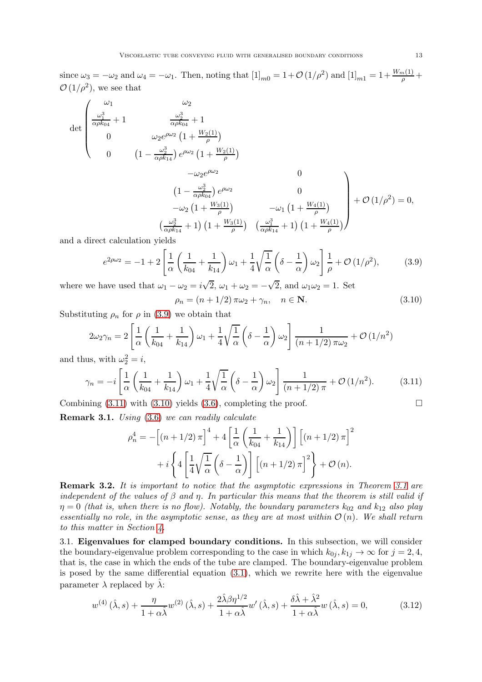since  $\omega_3 = -\omega_2$  and  $\omega_4 = -\omega_1$ . Then, noting that  $\left[1\right]_{m0} = 1 + \mathcal{O}\left(1/\rho^2\right)$  and  $\left[1\right]_{m1} = 1 + \frac{W_m(1)}{\rho} +$  $\mathcal{O}(1/\rho^2)$ , we see that

$$
\det \begin{pmatrix} \omega_1 & \omega_2 \\ \frac{\omega_1^3}{\alpha \rho k_{04}} + 1 & \frac{\omega_2^3}{\alpha \rho k_{04}} + 1 \\ 0 & \omega_2 e^{\rho \omega_2} \left( 1 + \frac{W_2(1)}{\rho} \right) \\ 0 & \left( 1 - \frac{\omega_2^3}{\alpha \rho k_{14}} \right) e^{\rho \omega_2} \left( 1 + \frac{W_2(1)}{\rho} \right) \\ -\omega_2 e^{\rho \omega_2} & 0 \\ \left( 1 - \frac{\omega_2^3}{\alpha \rho k_{04}} \right) e^{\rho \omega_2} & 0 \\ -\omega_2 \left( 1 + \frac{W_3(1)}{\rho} \right) & -\omega_1 \left( 1 + \frac{W_4(1)}{\rho} \right) \\ \left( \frac{\omega_2^3}{\alpha \rho k_{14}} + 1 \right) \left( 1 + \frac{W_3(1)}{\rho} \right) & \left( \frac{\omega_1^3}{\alpha \rho k_{14}} + 1 \right) \left( 1 + \frac{W_4(1)}{\rho} \right) \end{pmatrix} + \mathcal{O} \left( 1/\rho^2 \right) = 0,
$$

and a direct calculation yields

<span id="page-12-0"></span>
$$
e^{2\rho\omega_2} = -1 + 2\left[\frac{1}{\alpha}\left(\frac{1}{k_{04}} + \frac{1}{k_{14}}\right)\omega_1 + \frac{1}{4}\sqrt{\frac{1}{\alpha}}\left(\delta - \frac{1}{\alpha}\right)\omega_2\right]\frac{1}{\rho} + \mathcal{O}\left(1/\rho^2\right),\tag{3.9}
$$

where we have used that  $\omega_1 - \omega_2 = i\sqrt{2}$ ,  $\omega_1 + \omega_2 = -\sqrt{2}$ , and  $\omega_1\omega_2 = 1$ . Set

<span id="page-12-2"></span>
$$
\rho_n = (n+1/2)\pi\omega_2 + \gamma_n, \quad n \in \mathbf{N}.\tag{3.10}
$$

Substituting  $\rho_n$  for  $\rho$  in [\(3.9\)](#page-12-0) we obtain that

$$
2\omega_2\gamma_n = 2\left[\frac{1}{\alpha}\left(\frac{1}{k_{04}} + \frac{1}{k_{14}}\right)\omega_1 + \frac{1}{4}\sqrt{\frac{1}{\alpha}}\left(\delta - \frac{1}{\alpha}\right)\omega_2\right] \frac{1}{(n+1/2)\pi\omega_2} + \mathcal{O}\left(1/n^2\right)
$$

and thus, with  $\omega_2^2 = i$ ,

<span id="page-12-1"></span>
$$
\gamma_n = -i \left[ \frac{1}{\alpha} \left( \frac{1}{k_{04}} + \frac{1}{k_{14}} \right) \omega_1 + \frac{1}{4} \sqrt{\frac{1}{\alpha}} \left( \delta - \frac{1}{\alpha} \right) \omega_2 \right] \frac{1}{(n+1/2)\pi} + \mathcal{O}\left(1/n^2\right). \tag{3.11}
$$

Combining  $(3.11)$  with  $(3.10)$  yields  $(3.6)$ , completing the proof.

Remark 3.1. Using [\(3.6\)](#page-10-3) we can readily calculate

$$
\rho_n^4 = -\left[ (n+1/2) \pi \right]^4 + 4 \left[ \frac{1}{\alpha} \left( \frac{1}{k_{04}} + \frac{1}{k_{14}} \right) \right] \left[ (n+1/2) \pi \right]^2
$$

$$
+ i \left\{ 4 \left[ \frac{1}{4} \sqrt{\frac{1}{\alpha}} \left( \delta - \frac{1}{\alpha} \right) \right] \left[ (n+1/2) \pi \right]^2 \right\} + \mathcal{O}\left(n\right).
$$

<span id="page-12-4"></span>**Remark 3.2.** It is important to notice that the asymptotic expressions in Theorem [3.1](#page-10-4) are independent of the values of  $\beta$  and  $\eta$ . In particular this means that the theorem is still valid if  $\eta = 0$  (that is, when there is no flow). Notably, the boundary parameters  $k_{02}$  and  $k_{12}$  also play essentially no role, in the asymptotic sense, as they are at most within  $\mathcal{O}(n)$ . We shall return to this matter in Section [4.](#page-14-0)

3.1. Eigenvalues for clamped boundary conditions. In this subsection, we will consider the boundary-eigenvalue problem corresponding to the case in which  $k_{0j}$ ,  $k_{1j} \rightarrow \infty$  for  $j = 2, 4$ , that is, the case in which the ends of the tube are clamped. The boundary-eigenvalue problem is posed by the same differential equation  $(3.1)$ , which we rewrite here with the eigenvalue parameter  $\lambda$  replaced by  $\hat{\lambda}$ :

<span id="page-12-3"></span>
$$
w^{(4)}\left(\hat{\lambda},s\right) + \frac{\eta}{1+\alpha\hat{\lambda}}w^{(2)}\left(\hat{\lambda},s\right) + \frac{2\hat{\lambda}\beta\eta^{1/2}}{1+\alpha\hat{\lambda}}w'\left(\hat{\lambda},s\right) + \frac{\delta\hat{\lambda}+\hat{\lambda}^2}{1+\alpha\hat{\lambda}}w\left(\hat{\lambda},s\right) = 0,\tag{3.12}
$$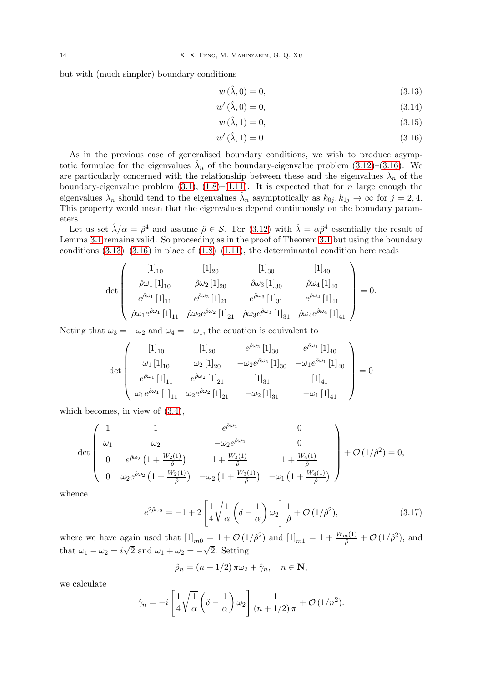but with (much simpler) boundary conditions

<span id="page-13-1"></span>
$$
w(\hat{\lambda},0) = 0,\t\t(3.13)
$$

$$
w'(\hat{\lambda},0) = 0,\tag{3.14}
$$

<span id="page-13-0"></span>
$$
w\left(\hat{\lambda}, 1\right) = 0,\tag{3.15}
$$

$$
w'(\hat{\lambda}, 1) = 0. \t(3.16)
$$

As in the previous case of generalised boundary conditions, we wish to produce asymptotic formulae for the eigenvalues  $\hat{\lambda}_n$  of the boundary-eigenvalue problem [\(3.12\)](#page-12-3)–[\(3.16\)](#page-13-0). We are particularly concerned with the relationship between these and the eigenvalues  $\lambda_n$  of the boundary-eigenvalue problem  $(3.1)$ ,  $(1.8)$ - $(1.11)$ . It is expected that for *n* large enough the eigenvalues  $\lambda_n$  should tend to the eigenvalues  $\hat{\lambda}_n$  asymptotically as  $k_{0j}, k_{1j} \to \infty$  for  $j = 2, 4$ . This property would mean that the eigenvalues depend continuously on the boundary parameters.

Let us set  $\hat{\lambda}/\alpha = \hat{\rho}^4$  and assume  $\hat{\rho} \in \mathcal{S}$ . For [\(3.12\)](#page-12-3) with  $\hat{\lambda} = \alpha \hat{\rho}^4$  essentially the result of Lemma [3.1](#page-10-0) remains valid. So proceeding as in the proof of Theorem [3.1](#page-10-4) but using the boundary conditions  $(3.13)$ – $(3.16)$  in place of  $(1.8)$ – $(1.11)$ , the determinantal condition here reads

$$
\det \begin{pmatrix} [1]_{10} & [1]_{20} & [1]_{30} & [1]_{40} \\ \hat{\rho}\omega_1 [1]_{10} & \hat{\rho}\omega_2 [1]_{20} & \hat{\rho}\omega_3 [1]_{30} & \hat{\rho}\omega_4 [1]_{40} \\ e^{\hat{\rho}\omega_1} [1]_{11} & e^{\hat{\rho}\omega_2} [1]_{21} & e^{\hat{\rho}\omega_3} [1]_{31} & e^{\hat{\rho}\omega_4} [1]_{41} \\ \hat{\rho}\omega_1 e^{\hat{\rho}\omega_1} [1]_{11} & \hat{\rho}\omega_2 e^{\hat{\rho}\omega_2} [1]_{21} & \hat{\rho}\omega_3 e^{\hat{\rho}\omega_3} [1]_{31} & \hat{\rho}\omega_4 e^{\hat{\rho}\omega_4} [1]_{41} \end{pmatrix} = 0.
$$

Noting that  $\omega_3 = -\omega_2$  and  $\omega_4 = -\omega_1$ , the equation is equivalent to

$$
\det \begin{pmatrix} [1]_{10} & [1]_{20} & e^{\hat{\rho}\omega_2} [1]_{30} & e^{\hat{\rho}\omega_1} [1]_{40} \\ \omega_1 [1]_{10} & \omega_2 [1]_{20} & -\omega_2 e^{\hat{\rho}\omega_2} [1]_{30} & -\omega_1 e^{\hat{\rho}\omega_1} [1]_{40} \\ e^{\hat{\rho}\omega_1} [1]_{11} & e^{\hat{\rho}\omega_2} [1]_{21} & [1]_{31} & [1]_{41} \\ \omega_1 e^{\hat{\rho}\omega_1} [1]_{11} & \omega_2 e^{\hat{\rho}\omega_2} [1]_{21} & -\omega_2 [1]_{31} & -\omega_1 [1]_{41} \end{pmatrix} = 0
$$

which becomes, in view of [\(3.4\)](#page-9-4),

$$
\det \begin{pmatrix} 1 & 1 & e^{\hat{\rho}\omega_2} & 0 \\ \omega_1 & \omega_2 & -\omega_2 e^{\hat{\rho}\omega_2} & 0 \\ 0 & e^{\hat{\rho}\omega_2} \left(1 + \frac{W_2(1)}{\hat{\rho}}\right) & 1 + \frac{W_3(1)}{\hat{\rho}} & 1 + \frac{W_4(1)}{\hat{\rho}} \\ 0 & \omega_2 e^{\hat{\rho}\omega_2} \left(1 + \frac{W_2(1)}{\hat{\rho}}\right) & -\omega_2 \left(1 + \frac{W_3(1)}{\hat{\rho}}\right) & -\omega_1 \left(1 + \frac{W_4(1)}{\hat{\rho}}\right) \end{pmatrix} + \mathcal{O}\left(1/\hat{\rho}^2\right) = 0,
$$

whence

<span id="page-13-2"></span>
$$
e^{2\hat{\rho}\omega_2} = -1 + 2\left[\frac{1}{4}\sqrt{\frac{1}{\alpha}}\left(\delta - \frac{1}{\alpha}\right)\omega_2\right]\frac{1}{\hat{\rho}} + \mathcal{O}\left(1/\hat{\rho}^2\right),\tag{3.17}
$$

where we have again used that  $[1]_{m0} = 1 + \mathcal{O}(1/\hat{\rho}^2)$  and  $[1]_{m1} = 1 + \frac{W_m(1)}{\hat{\rho}} + \mathcal{O}(1/\hat{\rho}^2)$ , and that  $\omega_1 - \omega_2 = i\sqrt{2}$  and  $\omega_1 + \omega_2 = -\sqrt{2}$ . Setting

$$
\hat{\rho}_n = (n+1/2) \pi \omega_2 + \hat{\gamma}_n, \quad n \in \mathbf{N},
$$

we calculate

$$
\hat{\gamma}_n = -i \left[ \frac{1}{4} \sqrt{\frac{1}{\alpha}} \left( \delta - \frac{1}{\alpha} \right) \omega_2 \right] \frac{1}{(n+1/2) \pi} + \mathcal{O} \left( 1/n^2 \right).
$$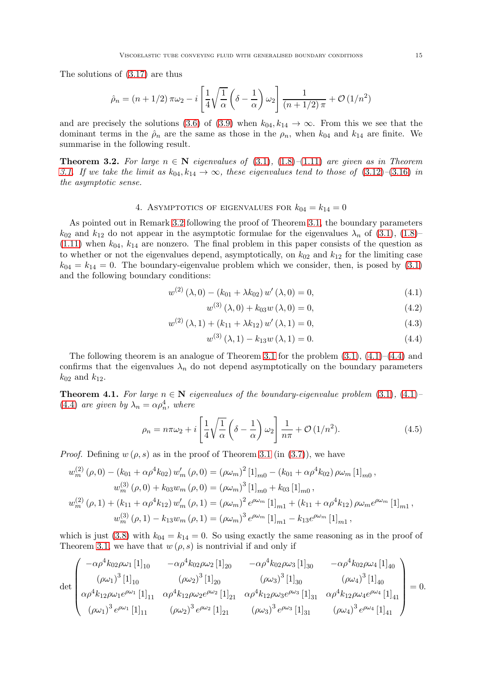The solutions of [\(3.17\)](#page-13-2) are thus

$$
\hat{\rho}_n = (n+1/2)\,\pi\omega_2 - i\left[\frac{1}{4}\sqrt{\frac{1}{\alpha}}\left(\delta - \frac{1}{\alpha}\right)\omega_2\right]\frac{1}{(n+1/2)\,\pi} + \mathcal{O}\left(1/n^2\right)
$$

and are precisely the solutions [\(3.6\)](#page-10-3) of [\(3.9\)](#page-12-0) when  $k_{04}, k_{14} \rightarrow \infty$ . From this we see that the dominant terms in the  $\hat{\rho}_n$  are the same as those in the  $\rho_n$ , when  $k_{04}$  and  $k_{14}$  are finite. We summarise in the following result.

**Theorem 3.2.** For large  $n \in \mathbb{N}$  eigenvalues of [\(3.1\)](#page-9-1), [\(1.8\)](#page-1-3)–[\(1.11\)](#page-1-2) are given as in Theorem [3.1.](#page-10-4) If we take the limit as  $k_{04}, k_{14} \rightarrow \infty$ , these eigenvalues tend to those of [\(3.12\)](#page-12-3)–[\(3.16\)](#page-13-0) in the asymptotic sense.

## 4. ASYMPTOTICS OF EIGENVALUES FOR  $k_{04} = k_{14} = 0$

<span id="page-14-0"></span>As pointed out in Remark [3.2](#page-12-4) following the proof of Theorem [3.1,](#page-10-4) the boundary parameters  $k_{02}$  and  $k_{12}$  do not appear in the asymptotic formulae for the eigenvalues  $\lambda_n$  of [\(3.1\)](#page-9-1), [\(1.8\)](#page-1-3)–  $(1.11)$  when  $k_{04}$ ,  $k_{14}$  are nonzero. The final problem in this paper consists of the question as to whether or not the eigenvalues depend, asymptotically, on  $k_{02}$  and  $k_{12}$  for the limiting case  $k_{04} = k_{14} = 0$ . The boundary-eigenvalue problem which we consider, then, is posed by [\(3.1\)](#page-9-1) and the following boundary conditions:

$$
w^{(2)} (\lambda, 0) - (k_{01} + \lambda k_{02}) w' (\lambda, 0) = 0, \qquad (4.1)
$$

<span id="page-14-1"></span>
$$
w^{(3)}(\lambda,0) + k_{03}w(\lambda,0) = 0,
$$
\n(4.2)

$$
w^{(2)}(\lambda,1) + (k_{11} + \lambda k_{12}) w'(\lambda,1) = 0,
$$
\n(4.3)

$$
w^{(3)}(\lambda, 1) - k_{13}w(\lambda, 1) = 0.
$$
 (4.4)

The following theorem is an analogue of Theorem [3.1](#page-10-4) for the problem [\(3.1\)](#page-9-1), [\(4.1\)](#page-14-1)–[\(4.4\)](#page-14-2) and confirms that the eigenvalues  $\lambda_n$  do not depend asymptotically on the boundary parameters  $k_{02}$  and  $k_{12}$ .

**Theorem 4.1.** For large  $n \in \mathbb{N}$  eigenvalues of the boundary-eigenvalue problem [\(3.1\)](#page-9-1), [\(4.1\)](#page-14-1)– [\(4.4\)](#page-14-2) are given by  $\lambda_n = \alpha \rho_n^4$ , where

<span id="page-14-3"></span>
$$
\rho_n = n\pi\omega_2 + i \left[ \frac{1}{4} \sqrt{\frac{1}{\alpha}} \left( \delta - \frac{1}{\alpha} \right) \omega_2 \right] \frac{1}{n\pi} + \mathcal{O}\left( 1/n^2 \right). \tag{4.5}
$$

*Proof.* Defining  $w(\rho, s)$  as in the proof of Theorem [3.1](#page-10-4) (in [\(3.7\)](#page-10-1)), we have

$$
w_m^{(2)}(\rho,0) - (k_{01} + \alpha \rho^4 k_{02}) w'_m (\rho,0) = (\rho \omega_m)^2 [1]_{m0} - (k_{01} + \alpha \rho^4 k_{02}) \rho \omega_m [1]_{m0},
$$
  
\n
$$
w_m^{(3)}(\rho,0) + k_{03} w_m (\rho,0) = (\rho \omega_m)^3 [1]_{m0} + k_{03} [1]_{m0},
$$
  
\n
$$
w_m^{(2)}(\rho,1) + (k_{11} + \alpha \rho^4 k_{12}) w'_m (\rho,1) = (\rho \omega_m)^2 e^{\rho \omega_m} [1]_{m1} + (k_{11} + \alpha \rho^4 k_{12}) \rho \omega_m e^{\rho \omega_m} [1]_{m1}
$$
  
\n
$$
w_m^{(3)}(\rho,1) - k_{13} w_m (\rho,1) = (\rho \omega_m)^3 e^{\rho \omega_m} [1]_{m1} - k_{13} e^{\rho \omega_m} [1]_{m1},
$$

which is just [\(3.8\)](#page-11-0) with  $k_{04} = k_{14} = 0$ . So using exactly the same reasoning as in the proof of Theorem [3.1,](#page-10-4) we have that  $w(\rho, s)$  is nontrivial if and only if

$$
\det \begin{pmatrix}\n-\alpha \rho^4 k_{02} \rho \omega_1 [1]_{10} & -\alpha \rho^4 k_{02} \rho \omega_2 [1]_{20} & -\alpha \rho^4 k_{02} \rho \omega_3 [1]_{30} & -\alpha \rho^4 k_{02} \rho \omega_4 [1]_{40} \\
(\rho \omega_1)^3 [1]_{10} & (\rho \omega_2)^3 [1]_{20} & (\rho \omega_3)^3 [1]_{30} & (\rho \omega_4)^3 [1]_{40} \\
\alpha \rho^4 k_{12} \rho \omega_1 e^{\rho \omega_1} [1]_{11} & \alpha \rho^4 k_{12} \rho \omega_2 e^{\rho \omega_2} [1]_{21} & \alpha \rho^4 k_{12} \rho \omega_3 e^{\rho \omega_3} [1]_{31} & \alpha \rho^4 k_{12} \rho \omega_4 e^{\rho \omega_4} [1]_{41} \\
(\rho \omega_1)^3 e^{\rho \omega_1} [1]_{11} & (\rho \omega_2)^3 e^{\rho \omega_2} [1]_{21} & (\rho \omega_3)^3 e^{\rho \omega_3} [1]_{31} & (\rho \omega_4)^3 e^{\rho \omega_4} [1]_{41}\n\end{pmatrix} = 0.
$$

<span id="page-14-2"></span>,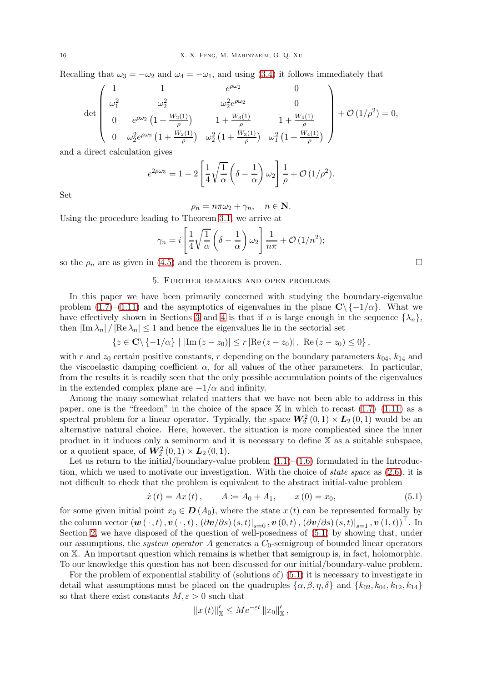Recalling that  $\omega_3 = -\omega_2$  and  $\omega_4 = -\omega_1$ , and using [\(3.4\)](#page-9-4) it follows immediately that

$$
\det \begin{pmatrix} 1 & 1 & e^{\rho \omega_2} & 0 \\ \omega_1^2 & \omega_2^2 & \omega_2^2 e^{\rho \omega_2} & 0 \\ 0 & e^{\rho \omega_2} \left(1 + \frac{W_2(1)}{\rho}\right) & 1 + \frac{W_3(1)}{\rho} & 1 + \frac{W_4(1)}{\rho} \\ 0 & \omega_2^2 e^{\rho \omega_2} \left(1 + \frac{W_2(1)}{\rho}\right) & \omega_2^2 \left(1 + \frac{W_3(1)}{\rho}\right) & \omega_1^2 \left(1 + \frac{W_4(1)}{\rho}\right) \end{pmatrix} + \mathcal{O}\left(1/\rho^2\right) = 0,
$$

and a direct calculation gives

$$
e^{2\rho\omega_3} = 1 - 2\left[\frac{1}{4}\sqrt{\frac{1}{\alpha}}\left(\delta - \frac{1}{\alpha}\right)\omega_2\right]\frac{1}{\rho} + \mathcal{O}\left(1/\rho^2\right).
$$

Set

$$
\rho_n = n\pi\omega_2 + \gamma_n, \quad n \in \mathbf{N}.
$$

Using the procedure leading to Theorem [3.1,](#page-10-4) we arrive at

$$
\gamma_n = i \left[ \frac{1}{4} \sqrt{\frac{1}{\alpha}} \left( \delta - \frac{1}{\alpha} \right) \omega_2 \right] \frac{1}{n\pi} + \mathcal{O} \left( 1/n^2 \right);
$$

<span id="page-15-0"></span>so the  $\rho_n$  are as given in [\(4.5\)](#page-14-3) and the theorem is proven.

### 5. Further remarks and open problems

In this paper we have been primarily concerned with studying the boundary-eigenvalue problem [\(1.7\)](#page-1-1)–[\(1.11\)](#page-1-2) and the asymptotics of eigenvalues in the plane  $C\setminus\{-1/\alpha\}$ . What we have effectively shown in Sections [3](#page-9-0) and [4](#page-14-0) is that if n is large enough in the sequence  $\{\lambda_n\}$ , then  $|\text{Im }\lambda_n| / |\text{Re }\lambda_n| \leq 1$  and hence the eigenvalues lie in the sectorial set

$$
\{z \in \mathbf{C} \setminus \{-1/\alpha\} \mid |\text{Im} (z - z_0)| \le r \, |\text{Re} (z - z_0)| \,, \text{ Re} (z - z_0) \le 0\}\,,
$$

with r and  $z_0$  certain positive constants, r depending on the boundary parameters  $k_{04}$ ,  $k_{14}$  and the viscoelastic damping coefficient  $\alpha$ , for all values of the other parameters. In particular, from the results it is readily seen that the only possible accumulation points of the eigenvalues in the extended complex plane are  $-1/\alpha$  and infinity.

Among the many somewhat related matters that we have not been able to address in this paper, one is the "freedom" in the choice of the space  $X$  in which to recast  $(1.7)$ – $(1.11)$  as a spectral problem for a linear operator. Typically, the space  $W_2^2(0,1) \times L_2(0,1)$  would be an alternative natural choice. Here, however, the situation is more complicated since the inner product in it induces only a seminorm and it is necessary to define X as a suitable subspace, or a quotient space, of  $\mathbf{W}_2^2(0,1) \times \mathbf{L}_2(0,1)$ .

Let us return to the initial/boundary-value problem  $(1.1)$ – $(1.6)$  formulated in the Introduction, which we used to motivate our investigation. With the choice of *state space* as  $(2.6)$ , it is not difficult to check that the problem is equivalent to the abstract initial-value problem

<span id="page-15-1"></span>
$$
\dot{x}(t) = Ax(t), \qquad A := A_0 + A_1, \qquad x(0) = x_0,\tag{5.1}
$$

for some given initial point  $x_0 \in \mathbf{D}(A_0)$ , where the state  $x(t)$  can be represented formally by the column vector  $(\boldsymbol{w}(\,\cdot\,,t),\boldsymbol{v}(\,\cdot\,,t)\,,(\partial \boldsymbol{v}/\partial s)\,(s,t)|_{s=0}\,,\boldsymbol{v}\,(0,t)\,,(\partial \boldsymbol{v}/\partial s)\,(s,t)|_{s=1}\,,\boldsymbol{v}\,(1,t))^\top.$  In Section [2,](#page-2-0) we have disposed of the question of well-posedness of [\(5.1\)](#page-15-1) by showing that, under our assumptions, the *system operator* A generates a  $C_0$ -semigroup of bounded linear operators on X. An important question which remains is whether that semigroup is, in fact, holomorphic. To our knowledge this question has not been discussed for our initial/boundary-value problem.

For the problem of exponential stability of (solutions of) [\(5.1\)](#page-15-1) it is necessary to investigate in detail what assumptions must be placed on the quadruples  $\{\alpha, \beta, \eta, \delta\}$  and  $\{k_{02}, k_{04}, k_{12}, k_{14}\}\$ so that there exist constants  $M, \varepsilon > 0$  such that

$$
||x(t)||'_{\mathbb{X}} \le Me^{-\varepsilon t} ||x_0||'_{\mathbb{X}},
$$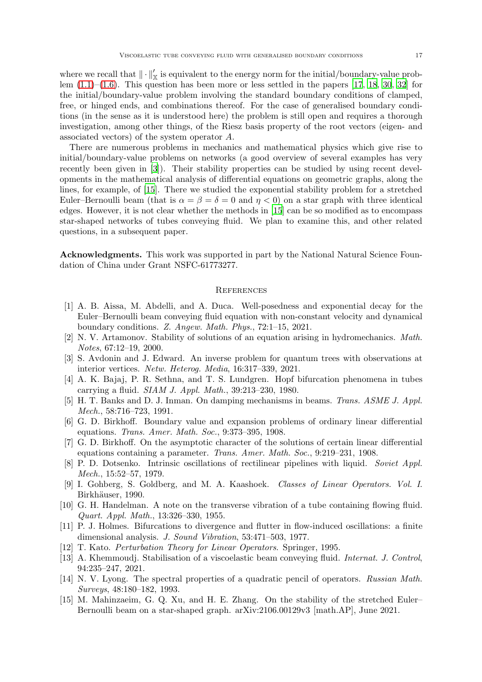where we recall that  $\|\cdot\|'_{\mathbb{X}}$  is equivalent to the energy norm for the initial/boundary-value problem  $(1.1)$ – $(1.6)$ . This question has been more or less settled in the papers [\[17,](#page-17-12) [18](#page-17-13), [30](#page-17-10), [32](#page-17-11)] for the initial/boundary-value problem involving the standard boundary conditions of clamped, free, or hinged ends, and combinations thereof. For the case of generalised boundary conditions (in the sense as it is understood here) the problem is still open and requires a thorough investigation, among other things, of the Riesz basis property of the root vectors (eigen- and associated vectors) of the system operator A.

There are numerous problems in mechanics and mathematical physics which give rise to initial/boundary-value problems on networks (a good overview of several examples has very recently been given in [\[3](#page-16-13)]). Their stability properties can be studied by using recent developments in the mathematical analysis of differential equations on geometric graphs, along the lines, for example, of [\[15](#page-16-14)]. There we studied the exponential stability problem for a stretched Euler–Bernoulli beam (that is  $\alpha = \beta = \delta = 0$  and  $\eta < 0$ ) on a star graph with three identical edges. However, it is not clear whether the methods in [\[15](#page-16-14)] can be so modified as to encompass star-shaped networks of tubes conveying fluid. We plan to examine this, and other related questions, in a subsequent paper.

Acknowledgments. This work was supported in part by the National Natural Science Foundation of China under Grant NSFC-61773277.

### **REFERENCES**

- <span id="page-16-6"></span>[1] A. B. Aissa, M. Abdelli, and A. Duca. Well-posedness and exponential decay for the Euler–Bernoulli beam conveying fluid equation with non-constant velocity and dynamical boundary conditions. Z. Angew. Math. Phys., 72:1–15, 2021.
- <span id="page-16-8"></span>[2] N. V. Artamonov. Stability of solutions of an equation arising in hydromechanics. Math. Notes, 67:12–19, 2000.
- <span id="page-16-13"></span>[3] S. Avdonin and J. Edward. An inverse problem for quantum trees with observations at interior vertices. Netw. Heterog. Media, 16:317–339, 2021.
- <span id="page-16-1"></span>[4] A. K. Bajaj, P. R. Sethna, and T. S. Lundgren. Hopf bifurcation phenomena in tubes carrying a fluid. SIAM J. Appl. Math., 39:213–230, 1980.
- <span id="page-16-0"></span>[5] H. T. Banks and D. J. Inman. On damping mechanisms in beams. Trans. ASME J. Appl. Mech., 58:716–723, 1991.
- <span id="page-16-11"></span>[6] G. D. Birkhoff. Boundary value and expansion problems of ordinary linear differential equations. Trans. Amer. Math. Soc., 9:373–395, 1908.
- <span id="page-16-12"></span>[7] G. D. Birkhoff. On the asymptotic character of the solutions of certain linear differential equations containing a parameter. Trans. Amer. Math. Soc., 9:219–231, 1908.
- <span id="page-16-2"></span>[8] P. D. Dotsenko. Intrinsic oscillations of rectilinear pipelines with liquid. Soviet Appl. Mech., 15:52–57, 1979.
- <span id="page-16-10"></span>[9] I. Gohberg, S. Goldberg, and M. A. Kaashoek. Classes of Linear Operators. Vol. I. Birkhäuser, 1990.
- <span id="page-16-3"></span>[10] G. H. Handelman. A note on the transverse vibration of a tube containing flowing fluid. Quart. Appl. Math., 13:326–330, 1955.
- <span id="page-16-4"></span>[11] P. J. Holmes. Bifurcations to divergence and flutter in flow-induced oscillations: a finite dimensional analysis. J. Sound Vibration, 53:471–503, 1977.
- <span id="page-16-9"></span>[12] T. Kato. Perturbation Theory for Linear Operators. Springer, 1995.
- <span id="page-16-7"></span>[13] A. Khemmoudj. Stabilisation of a viscoelastic beam conveying fluid. Internat. J. Control, 94:235–247, 2021.
- <span id="page-16-5"></span>[14] N. V. Lyong. The spectral properties of a quadratic pencil of operators. Russian Math. Surveys, 48:180–182, 1993.
- <span id="page-16-14"></span>[15] M. Mahinzaeim, G. Q. Xu, and H. E. Zhang. On the stability of the stretched Euler– Bernoulli beam on a star-shaped graph. arXiv:2106.00129v3 [math.AP], June 2021.